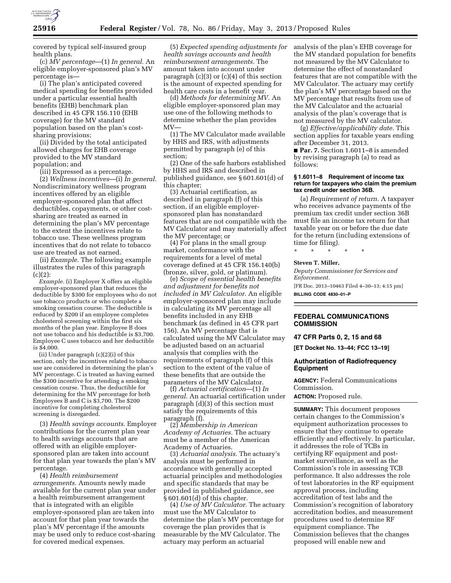

covered by typical self-insured group health plans.

(c) *MV percentage*—(1) *In general.* An eligible employer-sponsored plan's MV percentage is—

(i) The plan's anticipated covered medical spending for benefits provided under a particular essential health benefits (EHB) benchmark plan described in 45 CFR 156.110 (EHB coverage) for the MV standard population based on the plan's costsharing provisions;

(ii) Divided by the total anticipated allowed charges for EHB coverage provided to the MV standard population; and

(iii) Expressed as a percentage.

(2) *Wellness incentives*—(i) *In general.*  Nondiscriminatory wellness program incentives offered by an eligible employer-sponsored plan that affect deductibles, copayments, or other costsharing are treated as earned in determining the plan's MV percentage to the extent the incentives relate to tobacco use. These wellness program incentives that do not relate to tobacco use are treated as not earned.

(ii) *Example.* The following example illustrates the rules of this paragraph  $(c)(2)$ :

*Example.* (i) Employer X offers an eligible employer-sponsored plan that reduces the deductible by \$300 for employees who do not use tobacco products or who complete a smoking cessation course. The deductible is reduced by \$200 if an employee completes cholesterol screening within the first six months of the plan year. Employee B does not use tobacco and his deductible is \$3,700. Employee C uses tobacco and her deductible is \$4,000.

(ii) Under paragraph (c)(2)(i) of this section, only the incentives related to tobacco use are considered in determining the plan's MV percentage. C is treated as having earned the \$300 incentive for attending a smoking cessation course. Thus, the deductible for determining for the MV percentage for both Employees B and C is \$3,700. The \$200 incentive for completing cholesterol screening is disregarded.

(3) *Health savings accounts.* Employer contributions for the current plan year to health savings accounts that are offered with an eligible employersponsored plan are taken into account for that plan year towards the plan's MV percentage.

(4) *Health reimbursement arrangements.* Amounts newly made available for the current plan year under a health reimbursement arrangement that is integrated with an eligible employer-sponsored plan are taken into account for that plan year towards the plan's MV percentage if the amounts may be used only to reduce cost-sharing for covered medical expenses.

(5) *Expected spending adjustments for health savings accounts and health reimbursement arrangements.* The amount taken into account under paragraph (c)(3) or (c)(4) of this section is the amount of expected spending for health care costs in a benefit year.

(d) *Methods for determining MV.* An eligible employer-sponsored plan may use one of the following methods to determine whether the plan provides MV—

(1) The MV Calculator made available by HHS and IRS, with adjustments permitted by paragraph (e) of this section;

(2) One of the safe harbors established by HHS and IRS and described in published guidance, see § 601.601(d) of this chapter;

(3) Actuarial certification, as described in paragraph (f) of this section, if an eligible employersponsored plan has nonstandard features that are not compatible with the MV Calculator and may materially affect the MV percentage; or

(4) For plans in the small group market, conformance with the requirements for a level of metal coverage defined at 45 CFR 156.140(b) (bronze, silver, gold, or platinum).

(e) *Scope of essential health benefits and adjustment for benefits not included in MV Calculator.* An eligible employer-sponsored plan may include in calculating its MV percentage all benefits included in any EHB benchmark (as defined in 45 CFR part 156). An MV percentage that is calculated using the MV Calculator may be adjusted based on an actuarial analysis that complies with the requirements of paragraph (f) of this section to the extent of the value of these benefits that are outside the parameters of the MV Calculator.

(f) *Actuarial certification*—(1) *In general.* An actuarial certification under paragraph (d)(3) of this section must satisfy the requirements of this paragraph (f).

(2) *Membership in American Academy of Actuaries.* The actuary must be a member of the American Academy of Actuaries.

(3) *Actuarial analysis.* The actuary's analysis must be performed in accordance with generally accepted actuarial principles and methodologies and specific standards that may be provided in published guidance, see § 601.601(d) of this chapter.

(4) *Use of MV Calculator.* The actuary must use the MV Calculator to determine the plan's MV percentage for coverage the plan provides that is measurable by the MV Calculator. The actuary may perform an actuarial

analysis of the plan's EHB coverage for the MV standard population for benefits not measured by the MV Calculator to determine the effect of nonstandard features that are not compatible with the MV Calculator. The actuary may certify the plan's MV percentage based on the MV percentage that results from use of the MV Calculator and the actuarial analysis of the plan's coverage that is not measured by the MV calculator.

(g) *Effective/applicability date.* This section applies for taxable years ending after December 31, 2013.

■ **Par. 7.** Section 1.6011–8 is amended by revising paragraph (a) to read as follows:

### **§ 1.6011–8 Requirement of income tax return for taxpayers who claim the premium tax credit under section 36B.**

(a) *Requirement of return.* A taxpayer who receives advance payments of the premium tax credit under section 36B must file an income tax return for that taxable year on or before the due date for the return (including extensions of time for filing).

\* \* \* \* \*

# **Steven T. Miller,**

*Deputy Commissioner for Services and Enforcement.*  [FR Doc. 2013–10463 Filed 4–30–13; 4:15 pm] **BILLING CODE 4830–01–P** 

# **FEDERAL COMMUNICATIONS COMMISSION**

#### **47 CFR Parts 0, 2, 15 and 68**

**[ET Docket No. 13–44; FCC 13–19]** 

# **Authorization of Radiofrequency Equipment**

**AGENCY:** Federal Communications Commission.

**ACTION:** Proposed rule.

**SUMMARY:** This document proposes certain changes to the Commission's equipment authorization processes to ensure that they continue to operate efficiently and effectively. In particular, it addresses the role of TCBs in certifying RF equipment and postmarket surveillance, as well as the Commission's role in assessing TCB performance. It also addresses the role of test laboratories in the RF equipment approval process, including accreditation of test labs and the Commission's recognition of laboratory accreditation bodies, and measurement procedures used to determine RF equipment compliance. The Commission believes that the changes proposed will enable new and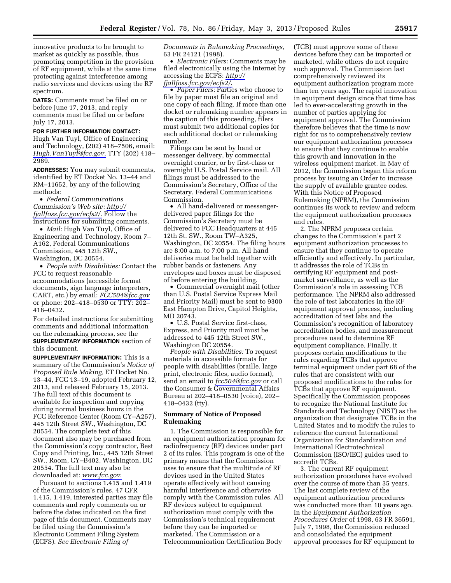innovative products to be brought to market as quickly as possible, thus promoting competition in the provision of RF equipment, while at the same time protecting against interference among radio services and devices using the RF spectrum.

**DATES:** Comments must be filed on or before June 17, 2013, and reply comments must be filed on or before July 17, 2013.

### **FOR FURTHER INFORMATION CONTACT:**

Hugh Van Tuyl, Office of Engineering and Technology, (202) 418–7506, email: *[Hugh.VanTuyl@fcc.gov](mailto:Hugh.VanTuyl@fcc.gov)*, TTY (202) 418– 2989.

**ADDRESSES:** You may submit comments, identified by ET Docket No. 13–44 and RM–11652, by any of the following methods:

• *Federal Communications Commission's Web site: [http://](http://fjallfoss.fcc.gov/ecfs2/) [fjallfoss.fcc.gov/ecfs2/](http://fjallfoss.fcc.gov/ecfs2/)*. Follow the instructions for submitting comments.

• *Mail:* Hugh Van Tuyl, Office of Engineering and Technology, Room 7– A162, Federal Communications Commission, 445 12th SW., Washington, DC 20554.

• *People with Disabilities:* Contact the FCC to request reasonable accommodations (accessible format documents, sign language interpreters, CART, etc.) by email: *[FCC504@fcc.gov](mailto:FCC504@fcc.gov)*  or phone: 202–418–0530 or TTY: 202– 418–0432.

For detailed instructions for submitting comments and additional information on the rulemaking process, see the **SUPPLEMENTARY INFORMATION** section of this document.

**SUPPLEMENTARY INFORMATION:** This is a summary of the Commission's *Notice of Proposed Rule Making,* ET Docket No. 13–44, FCC 13–19, adopted February 12, 2013, and released February 15, 2013. The full text of this document is available for inspection and copying during normal business hours in the FCC Reference Center (Room CY–A257), 445 12th Street SW., Washington, DC 20554. The complete text of this document also may be purchased from the Commission's copy contractor, Best Copy and Printing, Inc., 445 12th Street SW., Room, CY–B402, Washington, DC 20554. The full text may also be downloaded at: *[www.fcc.gov](http://www.fcc.gov)*.

Pursuant to sections 1.415 and 1.419 of the Commission's rules, 47 CFR 1.415, 1.419, interested parties may file comments and reply comments on or before the dates indicated on the first page of this document. Comments may be filed using the Commission's Electronic Comment Filing System (ECFS). *See Electronic Filing of* 

*Documents in Rulemaking Proceedings,*  63 FR 24121 (1998).

• *Electronic Filers:* Comments may be filed electronically using the Internet by accessing the ECFS: *[http://](http://fjallfoss.fcc.gov/ecfs2/)  [fjallfoss.fcc.gov/ecfs2/](http://fjallfoss.fcc.gov/ecfs2/)*.

• *Paper Filers:* Parties who choose to file by paper must file an original and one copy of each filing. If more than one docket or rulemaking number appears in the caption of this proceeding, filers must submit two additional copies for each additional docket or rulemaking number.

Filings can be sent by hand or messenger delivery, by commercial overnight courier, or by first-class or overnight U.S. Postal Service mail. All filings must be addressed to the Commission's Secretary, Office of the Secretary, Federal Communications Commission.

• All hand-delivered or messengerdelivered paper filings for the Commission's Secretary must be delivered to FCC Headquarters at 445 12th St. SW., Room TW–A325, Washington, DC 20554. The filing hours are 8:00 a.m. to 7:00 p.m. All hand deliveries must be held together with rubber bands or fasteners. Any envelopes and boxes must be disposed of before entering the building.

• Commercial overnight mail (other than U.S. Postal Service Express Mail and Priority Mail) must be sent to 9300 East Hampton Drive, Capitol Heights, MD 20743.

• U.S. Postal Service first-class, Express, and Priority mail must be addressed to 445 12th Street SW., Washington DC 20554.

*People with Disabilities:* To request materials in accessible formats for people with disabilities (braille, large print, electronic files, audio format), send an email to *[fcc504@fcc.gov](mailto:fcc504@fcc.gov)* or call the Consumer & Governmental Affairs Bureau at 202–418–0530 (voice), 202– 418–0432 (tty).

# **Summary of Notice of Proposed Rulemaking**

1. The Commission is responsible for an equipment authorization program for radiofrequency (RF) devices under part 2 of its rules. This program is one of the primary means that the Commission uses to ensure that the multitude of RF devices used in the United States operate effectively without causing harmful interference and otherwise comply with the Commission rules. All RF devices subject to equipment authorization must comply with the Commission's technical requirement before they can be imported or marketed. The Commission or a Telecommunication Certification Body

(TCB) must approve some of these devices before they can be imported or marketed, while others do not require such approval. The Commission last comprehensively reviewed its equipment authorization program more than ten years ago. The rapid innovation in equipment design since that time has led to ever-accelerating growth in the number of parties applying for equipment approval. The Commission therefore believes that the time is now right for us to comprehensively review our equipment authorization processes to ensure that they continue to enable this growth and innovation in the wireless equipment market. In May of 2012, the Commission began this reform process by issuing an Order to increase the supply of available grantee codes. With this Notice of Proposed Rulemaking (NPRM), the Commission continues its work to review and reform the equipment authorization processes and rules.

2. The NPRM proposes certain changes to the Commission's part 2 equipment authorization processes to ensure that they continue to operate efficiently and effectively. In particular, it addresses the role of TCBs in certifying RF equipment and postmarket surveillance, as well as the Commission's role in assessing TCB performance. The NPRM also addressed the role of test laboratories in the RF equipment approval process, including accreditation of test labs and the Commission's recognition of laboratory accreditation bodies, and measurement procedures used to determine RF equipment compliance. Finally, it proposes certain modifications to the rules regarding TCBs that approve terminal equipment under part 68 of the rules that are consistent with our proposed modifications to the rules for TCBs that approve RF equipment. Specifically the Commission proposes to recognize the National Institute for Standards and Technology (NIST) as the organization that designates TCBs in the United States and to modify the rules to reference the current International Organization for Standardization and International Electrotechnical Commission (ISO/IEC) guides used to accredit TCBs.

3. The current RF equipment authorization procedures have evolved over the course of more than 35 years. The last complete review of the equipment authorization procedures was conducted more than 10 years ago. In the *Equipment Authorization Procedures Order* of 1998, 63 FR 36591, July 7, 1998, the Commission reduced and consolidated the equipment approval processes for RF equipment to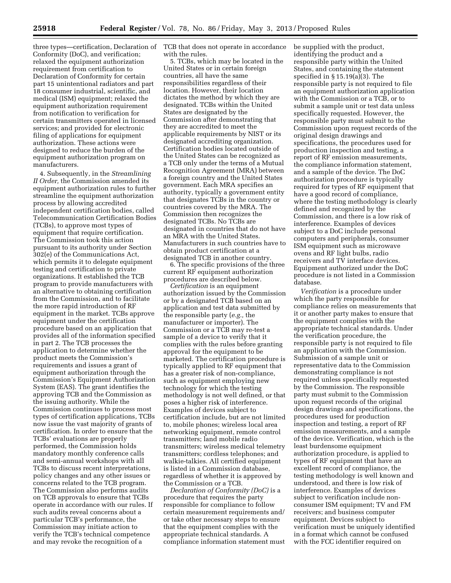three types—certification, Declaration of Conformity (DoC), and verification; relaxed the equipment authorization requirement from certification to Declaration of Conformity for certain part 15 unintentional radiators and part 18 consumer industrial, scientific, and medical (ISM) equipment; relaxed the equipment authorization requirement from notification to verification for certain transmitters operated in licensed services; and provided for electronic filing of applications for equipment authorization. These actions were designed to reduce the burden of the equipment authorization program on manufacturers.

4. Subsequently, in the *Streamlining II Order,* the Commission amended its equipment authorization rules to further streamline the equipment authorization process by allowing accredited independent certification bodies, called Telecommunication Certification Bodies (TCBs), to approve most types of equipment that require certification. The Commission took this action pursuant to its authority under Section 302(e) of the Communications Act, which permits it to delegate equipment testing and certification to private organizations. It established the TCB program to provide manufacturers with an alternative to obtaining certification from the Commission, and to facilitate the more rapid introduction of RF equipment in the market. TCBs approve equipment under the certification procedure based on an application that provides all of the information specified in part 2. The TCB processes the application to determine whether the product meets the Commission's requirements and issues a grant of equipment authorization through the Commission's Equipment Authorization System (EAS). The grant identifies the approving TCB and the Commission as the issuing authority. While the Commission continues to process most types of certification applications, TCBs now issue the vast majority of grants of certification. In order to ensure that the TCBs' evaluations are properly performed, the Commission holds mandatory monthly conference calls and semi-annual workshops with all TCBs to discuss recent interpretations, policy changes and any other issues or concerns related to the TCB program. The Commission also performs audits on TCB approvals to ensure that TCBs operate in accordance with our rules. If such audits reveal concerns about a particular TCB's performance, the Commission may initiate action to verify the TCB's technical competence and may revoke the recognition of a

TCB that does not operate in accordance with the rules.

5. TCBs, which may be located in the United States or in certain foreign countries, all have the same responsibilities regardless of their location. However, their location dictates the method by which they are designated. TCBs within the United States are designated by the Commission after demonstrating that they are accredited to meet the applicable requirements by NIST or its designated accrediting organization. Certification bodies located outside of the United States can be recognized as a TCB only under the terms of a Mutual Recognition Agreement (MRA) between a foreign country and the United States government. Each MRA specifies an authority, typically a government entity that designates TCBs in the country or countries covered by the MRA. The Commission then recognizes the designated TCBs. No TCBs are designated in countries that do not have an MRA with the United States. Manufacturers in such countries have to obtain product certification at a designated TCB in another country.

6. The specific provisions of the three current RF equipment authorization procedures are described below.

*Certification* is an equipment authorization issued by the Commission or by a designated TCB based on an application and test data submitted by the responsible party (*e.g.,* the manufacturer or importer). The Commission or a TCB may re-test a sample of a device to verify that it complies with the rules before granting approval for the equipment to be marketed. The certification procedure is typically applied to RF equipment that has a greater risk of non-compliance, such as equipment employing new technology for which the testing methodology is not well defined, or that poses a higher risk of interference. Examples of devices subject to certification include, but are not limited to, mobile phones; wireless local area networking equipment, remote control transmitters; land mobile radio transmitters; wireless medical telemetry transmitters; cordless telephones; and walkie-talkies. All certified equipment is listed in a Commission database, regardless of whether it is approved by the Commission or a TCB.

*Declaration of Conformity (DoC)* is a procedure that requires the party responsible for compliance to follow certain measurement requirements and/ or take other necessary steps to ensure that the equipment complies with the appropriate technical standards. A compliance information statement must be supplied with the product, identifying the product and a responsible party within the United States, and containing the statement specified in § 15.19(a)(3). The responsible party is not required to file an equipment authorization application with the Commission or a TCB, or to submit a sample unit or test data unless specifically requested. However, the responsible party must submit to the Commission upon request records of the original design drawings and specifications, the procedures used for production inspection and testing, a report of RF emission measurements, the compliance information statement, and a sample of the device. The DoC authorization procedure is typically required for types of RF equipment that have a good record of compliance, where the testing methodology is clearly defined and recognized by the Commission, and there is a low risk of interference. Examples of devices subject to a DoC include personal computers and peripherals, consumer ISM equipment such as microwave ovens and RF light bulbs, radio receivers and TV interface devices. Equipment authorized under the DoC procedure is not listed in a Commission database.

*Verification* is a procedure under which the party responsible for compliance relies on measurements that it or another party makes to ensure that the equipment complies with the appropriate technical standards. Under the verification procedure, the responsible party is not required to file an application with the Commission. Submission of a sample unit or representative data to the Commission demonstrating compliance is not required unless specifically requested by the Commission. The responsible party must submit to the Commission upon request records of the original design drawings and specifications, the procedures used for production inspection and testing, a report of RF emission measurements, and a sample of the device. Verification, which is the least burdensome equipment authorization procedure, is applied to types of RF equipment that have an excellent record of compliance, the testing methodology is well known and understood, and there is low risk of interference. Examples of devices subject to verification include nonconsumer ISM equipment; TV and FM receivers; and business computer equipment. Devices subject to verification must be uniquely identified in a format which cannot be confused with the FCC identifier required on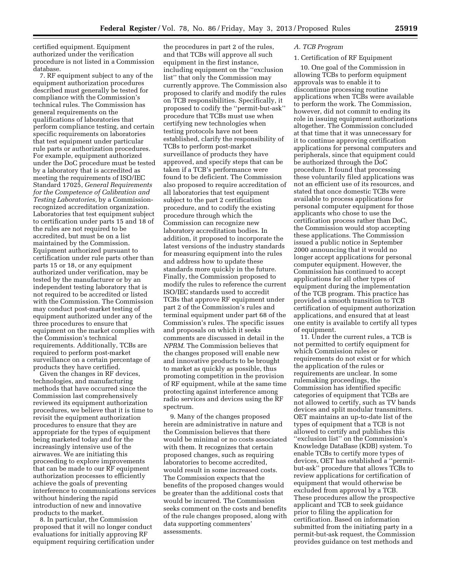certified equipment. Equipment authorized under the verification procedure is not listed in a Commission database.

7. RF equipment subject to any of the equipment authorization procedures described must generally be tested for compliance with the Commission's technical rules. The Commission has general requirements on the qualifications of laboratories that perform compliance testing, and certain specific requirements on laboratories that test equipment under particular rule parts or authorization procedures. For example, equipment authorized under the DoC procedure must be tested by a laboratory that is accredited as meeting the requirements of ISO/IEC Standard 17025, *General Requirements for the Competence of Calibration and Testing Laboratories,* by a Commissionrecognized accreditation organization. Laboratories that test equipment subject to certification under parts 15 and 18 of the rules are not required to be accredited, but must be on a list maintained by the Commission. Equipment authorized pursuant to certification under rule parts other than parts 15 or 18, or any equipment authorized under verification, may be tested by the manufacturer or by an independent testing laboratory that is not required to be accredited or listed with the Commission. The Commission may conduct post-market testing of equipment authorized under any of the three procedures to ensure that equipment on the market complies with the Commission's technical requirements. Additionally, TCBs are required to perform post-market surveillance on a certain percentage of products they have certified.

Given the changes in RF devices, technologies, and manufacturing methods that have occurred since the Commission last comprehensively reviewed its equipment authorization procedures, we believe that it is time to revisit the equipment authorization procedures to ensure that they are appropriate for the types of equipment being marketed today and for the increasingly intensive use of the airwaves. We are initiating this proceeding to explore improvements that can be made to our RF equipment authorization processes to efficiently achieve the goals of preventing interference to communications services without hindering the rapid introduction of new and innovative products to the market.

8. In particular, the Commission proposed that it will no longer conduct evaluations for initially approving RF equipment requiring certification under

the procedures in part 2 of the rules, and that TCBs will approve all such equipment in the first instance, including equipment on the ''exclusion list'' that only the Commission may currently approve. The Commission also proposed to clarify and modify the rules on TCB responsibilities. Specifically, it proposed to codify the ''permit-but-ask'' procedure that TCBs must use when certifying new technologies when testing protocols have not been established, clarify the responsibility of TCBs to perform post-market surveillance of products they have approved, and specify steps that can be taken if a TCB's performance were found to be deficient. The Commission also proposed to require accreditation of all laboratories that test equipment subject to the part 2 certification procedure, and to codify the existing procedure through which the Commission can recognize new laboratory accreditation bodies. In addition, it proposed to incorporate the latest versions of the industry standards for measuring equipment into the rules and address how to update these standards more quickly in the future. Finally, the Commission proposed to modify the rules to reference the current ISO/IEC standards used to accredit TCBs that approve RF equipment under part 2 of the Commission's rules and terminal equipment under part 68 of the Commission's rules. The specific issues and proposals on which it seeks comments are discussed in detail in the *NPRM.* The Commission believes that the changes proposed will enable new and innovative products to be brought to market as quickly as possible, thus promoting competition in the provision of RF equipment, while at the same time protecting against interference among radio services and devices using the RF spectrum.

9. Many of the changes proposed herein are administrative in nature and the Commission believes that there would be minimal or no costs associated with them. It recognizes that certain proposed changes, such as requiring laboratories to become accredited, would result in some increased costs. The Commission expects that the benefits of the proposed changes would be greater than the additional costs that would be incurred. The Commission seeks comment on the costs and benefits of the rule changes proposed, along with data supporting commenters' assessments.

# *A. TCB Program*

# 1. Certification of RF Equipment

10. One goal of the Commission in allowing TCBs to perform equipment approvals was to enable it to discontinue processing routine applications when TCBs were available to perform the work. The Commission, however, did not commit to ending its role in issuing equipment authorizations altogether. The Commission concluded at that time that it was unnecessary for it to continue approving certification applications for personal computers and peripherals, since that equipment could be authorized through the DoC procedure. It found that processing these voluntarily filed applications was not an efficient use of its resources, and stated that once domestic TCBs were available to process applications for personal computer equipment for those applicants who chose to use the certification process rather than DoC, the Commission would stop accepting these applications. The Commission issued a public notice in September 2000 announcing that it would no longer accept applications for personal computer equipment. However, the Commission has continued to accept applications for all other types of equipment during the implementation of the TCB program. This practice has provided a smooth transition to TCB certification of equipment authorization applications, and ensured that at least one entity is available to certify all types of equipment.

11. Under the current rules, a TCB is not permitted to certify equipment for which Commission rules or requirements do not exist or for which the application of the rules or requirements are unclear. In some rulemaking proceedings, the Commission has identified specific categories of equipment that TCBs are not allowed to certify, such as TV bands devices and split modular transmitters. OET maintains an up-to-date list of the types of equipment that a TCB is not allowed to certify and publishes this ''exclusion list'' on the Commission's Knowledge DataBase (KDB) system. To enable TCBs to certify more types of devices, OET has established a ''permitbut-ask'' procedure that allows TCBs to review applications for certification of equipment that would otherwise be excluded from approval by a TCB. These procedures allow the prospective applicant and TCB to seek guidance prior to filing the application for certification. Based on information submitted from the initiating party in a permit-but-ask request, the Commission provides guidance on test methods and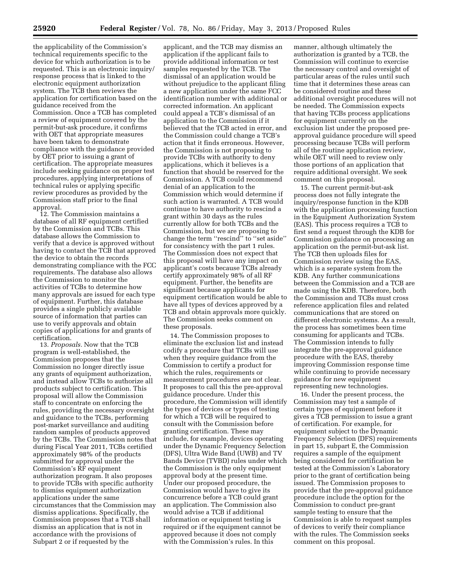the applicability of the Commission's technical requirements specific to the device for which authorization is to be requested. This is an electronic inquiry/ response process that is linked to the electronic equipment authorization system. The TCB then reviews the application for certification based on the guidance received from the Commission. Once a TCB has completed a review of equipment covered by the permit-but-ask procedure, it confirms with OET that appropriate measures have been taken to demonstrate compliance with the guidance provided by OET prior to issuing a grant of certification. The appropriate measures include seeking guidance on proper test procedures, applying interpretations of technical rules or applying specific review procedures as provided by the Commission staff prior to the final approval.

12. The Commission maintains a database of all RF equipment certified by the Commission and TCBs. This database allows the Commission to verify that a device is approved without having to contact the TCB that approved the device to obtain the records demonstrating compliance with the FCC requirements. The database also allows the Commission to monitor the activities of TCBs to determine how many approvals are issued for each type of equipment. Further, this database provides a single publicly available source of information that parties can use to verify approvals and obtain copies of applications for and grants of certification.

13. *Proposals.* Now that the TCB program is well-established, the Commission proposes that the Commission no longer directly issue any grants of equipment authorization, and instead allow TCBs to authorize all products subject to certification. This proposal will allow the Commission staff to concentrate on enforcing the rules, providing the necessary oversight and guidance to the TCBs, performing post-market surveillance and auditing random samples of products approved by the TCBs. The Commission notes that during Fiscal Year 2011, TCBs certified approximately 98% of the products submitted for approval under the Commission's RF equipment authorization program. It also proposes to provide TCBs with specific authority to dismiss equipment authorization applications under the same circumstances that the Commission may dismiss applications. Specifically, the Commission proposes that a TCB shall dismiss an application that is not in accordance with the provisions of Subpart 2 or if requested by the

applicant, and the TCB may dismiss an application if the applicant fails to provide additional information or test samples requested by the TCB. The dismissal of an application would be without prejudice to the applicant filing a new application under the same FCC identification number with additional or corrected information. An applicant could appeal a TCB's dismissal of an application to the Commission if it believed that the TCB acted in error, and the Commission could change a TCB's action that it finds erroneous. However, the Commission is not proposing to provide TCBs with authority to deny applications, which it believes is a function that should be reserved for the Commission. A TCB could recommend denial of an application to the Commission which would determine if such action is warranted. A TCB would continue to have authority to rescind a grant within 30 days as the rules currently allow for both TCBs and the Commission, but we are proposing to change the term ''rescind'' to ''set aside'' for consistency with the part 1 rules. The Commission does not expect that this proposal will have any impact on applicant's costs because TCBs already certify approximately 98% of all RF equipment. Further, the benefits are significant because applicants for equipment certification would be able to have all types of devices approved by a TCB and obtain approvals more quickly. The Commission seeks comment on these proposals.

14. The Commission proposes to eliminate the exclusion list and instead codify a procedure that TCBs will use when they require guidance from the Commission to certify a product for which the rules, requirements or measurement procedures are not clear. It proposes to call this the pre-approval guidance procedure. Under this procedure, the Commission will identify the types of devices or types of testing for which a TCB will be required to consult with the Commission before granting certification. These may include, for example, devices operating under the Dynamic Frequency Selection (DFS), Ultra Wide Band (UWB) and TV Bands Device (TVBD) rules under which the Commission is the only equipment approval body at the present time. Under our proposed procedure, the Commission would have to give its concurrence before a TCB could grant an application. The Commission also would advise a TCB if additional information or equipment testing is required or if the equipment cannot be approved because it does not comply with the Commission's rules. In this

manner, although ultimately the authorization is granted by a TCB, the Commission will continue to exercise the necessary control and oversight of particular areas of the rules until such time that it determines these areas can be considered routine and these additional oversight procedures will not be needed. The Commission expects that having TCBs process applications for equipment currently on the exclusion list under the proposed preapproval guidance procedure will speed processing because TCBs will perform all of the routine application review, while OET will need to review only those portions of an application that require additional oversight. We seek comment on this proposal.

15. The current permit-but-ask process does not fully integrate the inquiry/response function in the KDB with the application processing function in the Equipment Authorization System (EAS). This process requires a TCB to first send a request through the KDB for Commission guidance on processing an application on the permit-but-ask list. The TCB then uploads files for Commission review using the EAS, which is a separate system from the KDB. Any further communications between the Commission and a TCB are made using the KDB. Therefore, both the Commission and TCBs must cross reference application files and related communications that are stored on different electronic systems. As a result, the process has sometimes been time consuming for applicants and TCBs. The Commission intends to fully integrate the pre-approval guidance procedure with the EAS, thereby improving Commission response time while continuing to provide necessary guidance for new equipment representing new technologies.

16. Under the present process, the Commission may test a sample of certain types of equipment before it gives a TCB permission to issue a grant of certification. For example, for equipment subject to the Dynamic Frequency Selection (DFS) requirements in part 15, subpart E, the Commission requires a sample of the equipment being considered for certification be tested at the Commission's Laboratory prior to the grant of certification being issued. The Commission proposes to provide that the pre-approval guidance procedure include the option for the Commission to conduct pre-grant sample testing to ensure that the Commission is able to request samples of devices to verify their compliance with the rules. The Commission seeks comment on this proposal.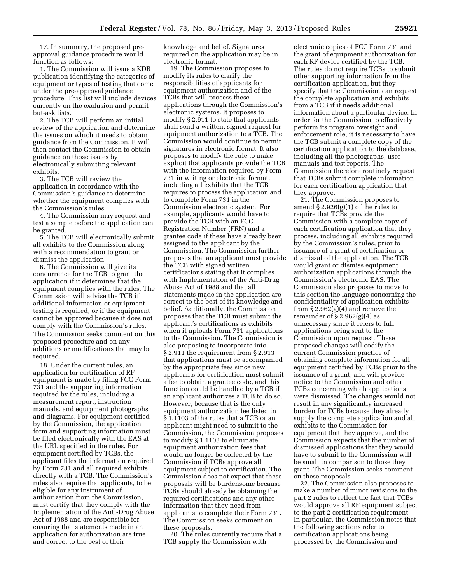17. In summary, the proposed preapproval guidance procedure would function as follows:

1. The Commission will issue a KDB publication identifying the categories of equipment or types of testing that come under the pre-approval guidance procedure. This list will include devices currently on the exclusion and permitbut-ask lists.

2. The TCB will perform an initial review of the application and determine the issues on which it needs to obtain guidance from the Commission. It will then contact the Commission to obtain guidance on those issues by electronically submitting relevant exhibits.

3. The TCB will review the application in accordance with the Commission's guidance to determine whether the equipment complies with the Commission's rules.

4. The Commission may request and test a sample before the application can be granted.

5. The TCB will electronically submit all exhibits to the Commission along with a recommendation to grant or dismiss the application.

6. The Commission will give its concurrence for the TCB to grant the application if it determines that the equipment complies with the rules. The Commission will advise the TCB if additional information or equipment testing is required, or if the equipment cannot be approved because it does not comply with the Commission's rules. The Commission seeks comment on this

proposed procedure and on any additions or modifications that may be required.

18. Under the current rules, an application for certification of RF equipment is made by filing FCC Form 731 and the supporting information required by the rules, including a measurement report, instruction manuals, and equipment photographs and diagrams. For equipment certified by the Commission, the application form and supporting information must be filed electronically with the EAS at the URL specified in the rules. For equipment certified by TCBs, the applicant files the information required by Form 731 and all required exhibits directly with a TCB. The Commission's rules also require that applicants, to be eligible for any instrument of authorization from the Commission, must certify that they comply with the Implementation of the Anti-Drug Abuse Act of 1988 and are responsible for ensuring that statements made in an application for authorization are true and correct to the best of their

knowledge and belief. Signatures required on the application may be in electronic format.

19. The Commission proposes to modify its rules to clarify the responsibilities of applicants for equipment authorization and of the TCBs that will process these applications through the Commission's electronic systems. It proposes to modify § 2.911 to state that applicants shall send a written, signed request for equipment authorization to a TCB. The Commission would continue to permit signatures in electronic format. It also proposes to modify the rule to make explicit that applicants provide the TCB with the information required by Form 731 in writing or electronic format, including all exhibits that the TCB requires to process the application and to complete Form 731 in the Commission electronic system. For example, applicants would have to provide the TCB with an FCC Registration Number (FRN) and a grantee code if these have already been assigned to the applicant by the Commission. The Commission further proposes that an applicant must provide the TCB with signed written certifications stating that it complies with Implementation of the Anti-Drug Abuse Act of 1988 and that all statements made in the application are correct to the best of its knowledge and belief. Additionally, the Commission proposes that the TCB must submit the applicant's certifications as exhibits when it uploads Form 731 applications to the Commission. The Commission is also proposing to incorporate into § 2.911 the requirement from § 2.913 that applications must be accompanied by the appropriate fees since new applicants for certification must submit a fee to obtain a grantee code, and this function could be handled by a TCB if an applicant authorizes a TCB to do so. However, because that is the only equipment authorization fee listed in § 1.1103 of the rules that a TCB or an applicant might need to submit to the Commission, the Commission proposes to modify § 1.1103 to eliminate equipment authorization fees that would no longer be collected by the Commission if TCBs approve all equipment subject to certification. The Commission does not expect that these proposals will be burdensome because TCBs should already be obtaining the required certifications and any other information that they need from applicants to complete their Form 731. The Commission seeks comment on these proposals.

20. The rules currently require that a TCB supply the Commission with

electronic copies of FCC Form 731 and the grant of equipment authorization for each RF device certified by the TCB. The rules do not require TCBs to submit other supporting information from the certification application, but they specify that the Commission can request the complete application and exhibits from a TCB if it needs additional information about a particular device. In order for the Commission to effectively perform its program oversight and enforcement role, it is necessary to have the TCB submit a complete copy of the certification application to the database, including all the photographs, user manuals and test reports. The Commission therefore routinely request that TCBs submit complete information for each certification application that they approve.

21. The Commission proposes to amend § 2.926(g)(1) of the rules to require that TCBs provide the Commission with a complete copy of each certification application that they process, including all exhibits required by the Commission's rules, prior to issuance of a grant of certification or dismissal of the application. The TCB would grant or dismiss equipment authorization applications through the Commission's electronic EAS. The Commission also proposes to move to this section the language concerning the confidentiality of application exhibits from  $\S 2.962(g)(4)$  and remove the remainder of  $\S 2.962(g)(4)$  as unnecessary since it refers to full applications being sent to the Commission upon request. These proposed changes will codify the current Commission practice of obtaining complete information for all equipment certified by TCBs prior to the issuance of a grant, and will provide notice to the Commission and other TCBs concerning which applications were dismissed. The changes would not result in any significantly increased burden for TCBs because they already supply the complete application and all exhibits to the Commission for equipment that they approve, and the Commission expects that the number of dismissed applications that they would have to submit to the Commission will be small in comparison to those they grant. The Commission seeks comment on these proposals.

22. The Commission also proposes to make a number of minor revisions to the part 2 rules to reflect the fact that TCBs would approve all RF equipment subject to the part 2 certification requirement. In particular, the Commission notes that the following sections refer to certification applications being processed by the Commission and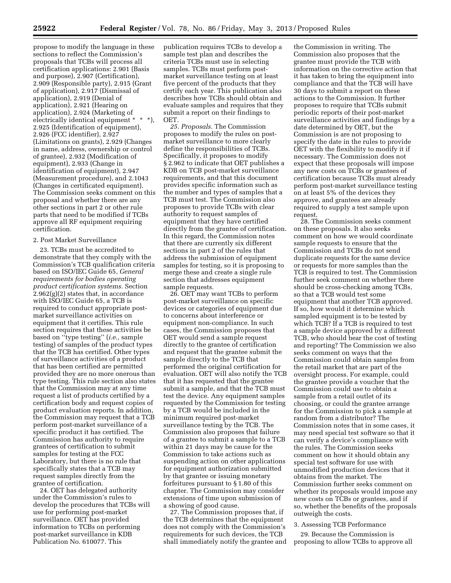propose to modify the language in these sections to reflect the Commission's proposals that TCBs will process all certification applications: 2.901 (Basis and purpose), 2.907 (Certification), 2.909 (Responsible party), 2.915 (Grant of application), 2.917 (Dismissal of application), 2.919 (Denial of application), 2.921 (Hearing on application), 2.924 (Marketing of electrically identical equipment \* \* \*), 2.925 (Identification of equipment), 2.926 (FCC identifier), 2.927 (Limitations on grants), 2.929 (Changes in name, address, ownership or control of grantee), 2.932 (Modification of equipment), 2.933 (Change in identification of equipment), 2.947 (Measurement procedure), and 2.1043 (Changes in certificated equipment). The Commission seeks comment on this proposal and whether there are any other sections in part 2 or other rule parts that need to be modified if TCBs approve all RF equipment requiring certification.

### 2. Post Market Surveillance

23. TCBs must be accredited to demonstrate that they comply with the Commission's TCB qualification criteria based on ISO/IEC Guide 65, *General requirements for bodies operating product certification systems.* Section  $2.962(g)(2)$  states that, in accordance with ISO/IEC Guide 65, a TCB is required to conduct appropriate postmarket surveillance activities on equipment that it certifies. This rule section requires that these activities be based on ''type testing'' (*i.e.,* sample testing) of samples of the product types that the TCB has certified. Other types of surveillance activities of a product that has been certified are permitted provided they are no more onerous than type testing. This rule section also states that the Commission may at any time request a list of products certified by a certification body and request copies of product evaluation reports. In addition, the Commission may request that a TCB perform post-market surveillance of a specific product it has certified. The Commission has authority to require grantees of certification to submit samples for testing at the FCC Laboratory, but there is no rule that specifically states that a TCB may request samples directly from the grantee of certification.

24. OET has delegated authority under the Commission's rules to develop the procedures that TCBs will use for performing post-market surveillance. OET has provided information to TCBs on performing post-market surveillance in KDB Publication No. 610077. This

publication requires TCBs to develop a sample test plan and describes the criteria TCBs must use in selecting samples. TCBs must perform postmarket surveillance testing on at least five percent of the products that they certify each year. This publication also describes how TCBs should obtain and evaluate samples and requires that they submit a report on their findings to **OET.** 

*25. Proposals.* The Commission proposes to modify the rules on postmarket surveillance to more clearly define the responsibilities of TCBs. Specifically, it proposes to modify § 2.962 to indicate that OET publishes a KDB on TCB post-market surveillance requirements, and that this document provides specific information such as the number and types of samples that a TCB must test. The Commission also proposes to provide TCBs with clear authority to request samples of equipment that they have certified directly from the grantee of certification. In this regard, the Commission notes that there are currently six different sections in part 2 of the rules that address the submission of equipment samples for testing, so it is proposing to merge these and create a single rule section that addresses equipment sample requests.

26. OET may want TCBs to perform post-market surveillance on specific devices or categories of equipment due to concerns about interference or equipment non-compliance. In such cases, the Commission proposes that OET would send a sample request directly to the grantee of certification and request that the grantee submit the sample directly to the TCB that performed the original certification for evaluation. OET will also notify the TCB that it has requested that the grantee submit a sample, and that the TCB must test the device. Any equipment samples requested by the Commission for testing by a TCB would be included in the minimum required post-market surveillance testing by the TCB. The Commission also proposes that failure of a grantee to submit a sample to a TCB within 21 days may be cause for the Commission to take actions such as suspending action on other applications for equipment authorization submitted by that grantee or issuing monetary forfeitures pursuant to § 1.80 of this chapter. The Commission may consider extensions of time upon submission of a showing of good cause.

27. The Commission proposes that, if the TCB determines that the equipment does not comply with the Commission's requirements for such devices, the TCB shall immediately notify the grantee and

the Commission in writing. The Commission also proposes that the grantee must provide the TCB with information on the corrective action that it has taken to bring the equipment into compliance and that the TCB will have 30 days to submit a report on these actions to the Commission. It further proposes to require that TCBs submit periodic reports of their post-market surveillance activities and findings by a date determined by OET, but the Commission is are not proposing to specify the date in the rules to provide OET with the flexibility to modify it if necessary. The Commission does not expect that these proposals will impose any new costs on TCBs or grantees of certification because TCBs must already perform post-market surveillance testing on at least 5% of the devices they approve, and grantees are already required to supply a test sample upon request.

28. The Commission seeks comment on these proposals. It also seeks comment on how we would coordinate sample requests to ensure that the Commission and TCBs do not send duplicate requests for the same device or requests for more samples than the TCB is required to test. The Commission further seek comment on whether there should be cross-checking among TCBs, so that a TCB would test some equipment that another TCB approved. If so, how would it determine which sampled equipment is to be tested by which TCB? If a TCB is required to test a sample device approved by a different TCB, who should bear the cost of testing and reporting? The Commission we also seeks comment on ways that the Commission could obtain samples from the retail market that are part of the oversight process. For example, could the grantee provide a voucher that the Commission could use to obtain a sample from a retail outlet of its choosing, or could the grantee arrange for the Commission to pick a sample at random from a distributor? The Commission notes that in some cases, it may need special test software so that it can verify a device's compliance with the rules. The Commission seeks comment on how it should obtain any special test software for use with unmodified production devices that it obtains from the market. The Commission further seeks comment on whether its proposals would impose any new costs on TCBs or grantees, and if so, whether the benefits of the proposals outweigh the costs.

#### 3. Assessing TCB Performance

29. Because the Commission is proposing to allow TCBs to approve all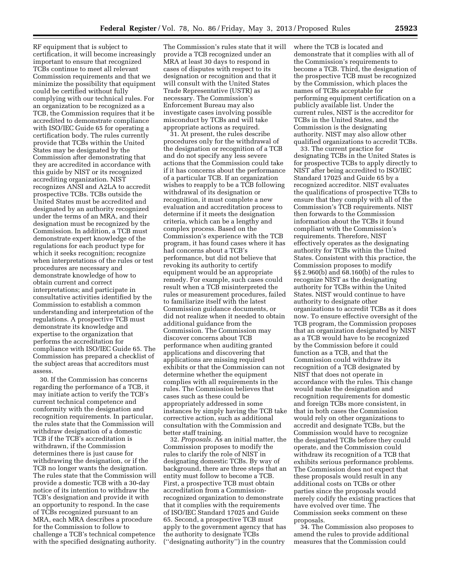RF equipment that is subject to certification, it will become increasingly important to ensure that recognized TCBs continue to meet all relevant Commission requirements and that we minimize the possibility that equipment could be certified without fully complying with our technical rules. For an organization to be recognized as a TCB, the Commission requires that it be accredited to demonstrate compliance with ISO/IEC Guide 65 for operating a certification body. The rules currently provide that TCBs within the United States may be designated by the Commission after demonstrating that they are accredited in accordance with this guide by NIST or its recognized accrediting organization. NIST recognizes ANSI and A2LA to accredit prospective TCBs. TCBs outside the United States must be accredited and designated by an authority recognized under the terms of an MRA, and their designation must be recognized by the Commission. In addition, a TCB must demonstrate expert knowledge of the regulations for each product type for which it seeks recognition; recognize when interpretations of the rules or test procedures are necessary and demonstrate knowledge of how to obtain current and correct interpretations; and participate in consultative activities identified by the Commission to establish a common understanding and interpretation of the regulations. A prospective TCB must demonstrate its knowledge and expertise to the organization that performs the accreditation for compliance with ISO/IEC Guide 65. The Commission has prepared a checklist of the subject areas that accreditors must assess.

30. If the Commission has concerns regarding the performance of a TCB, it may initiate action to verify the TCB's current technical competence and conformity with the designation and recognition requirements. In particular, the rules state that the Commission will withdraw designation of a domestic TCB if the TCB's accreditation is withdrawn, if the Commission determines there is just cause for withdrawing the designation, or if the TCB no longer wants the designation. The rules state that the Commission will provide a domestic TCB with a 30-day notice of its intention to withdraw the TCB's designation and provide it with an opportunity to respond. In the case of TCBs recognized pursuant to an MRA, each MRA describes a procedure for the Commission to follow to challenge a TCB's technical competence with the specified designating authority.

The Commission's rules state that it will provide a TCB recognized under an MRA at least 30 days to respond in cases of disputes with respect to its designation or recognition and that it will consult with the United States Trade Representative (USTR) as necessary. The Commission's Enforcement Bureau may also investigate cases involving possible misconduct by TCBs and will take appropriate actions as required.

31. At present, the rules describe procedures only for the withdrawal of the designation or recognition of a TCB and do not specify any less severe actions that the Commission could take if it has concerns about the performance of a particular TCB. If an organization wishes to reapply to be a TCB following withdrawal of its designation or recognition, it must complete a new evaluation and accreditation process to determine if it meets the designation criteria, which can be a lengthy and complex process. Based on the Commission's experience with the TCB program, it has found cases where it has had concerns about a TCB's performance, but did not believe that revoking its authority to certify equipment would be an appropriate remedy. For example, such cases could result when a TCB misinterpreted the rules or measurement procedures, failed to familiarize itself with the latest Commission guidance documents, or did not realize when it needed to obtain additional guidance from the Commission. The Commission may discover concerns about TCB performance when auditing granted applications and discovering that applications are missing required exhibits or that the Commission can not determine whether the equipment complies with all requirements in the rules. The Commission believes that cases such as these could be appropriately addressed in some instances by simply having the TCB take corrective action, such as additional consultation with the Commission and better staff training.

32. *Proposals.* As an initial matter, the Commission proposes to modify the rules to clarify the role of NIST in designating domestic TCBs. By way of background, there are three steps that an entity must follow to become a TCB. First, a prospective TCB must obtain accreditation from a Commissionrecognized organization to demonstrate that it complies with the requirements of ISO/IEC Standard 17025 and Guide 65. Second, a prospective TCB must apply to the government agency that has the authority to designate TCBs (''designating authority'') in the country

where the TCB is located and demonstrate that it complies with all of the Commission's requirements to become a TCB. Third, the designation of the prospective TCB must be recognized by the Commission, which places the names of TCBs acceptable for performing equipment certification on a publicly available list. Under the current rules, NIST is the accreditor for TCBs in the United States, and the Commission is the designating authority. NIST may also allow other qualified organizations to accredit TCBs.

33. The current practice for designating TCBs in the United States is for prospective TCBs to apply directly to NIST after being accredited to ISO/IEC Standard 17025 and Guide 65 by a recognized accreditor. NIST evaluates the qualifications of prospective TCBs to ensure that they comply with all of the Commission's TCB requirements. NIST then forwards to the Commission information about the TCBs it found compliant with the Commission's requirements. Therefore, NIST effectively operates as the designating authority for TCBs within the United States. Consistent with this practice, the Commission proposes to modify §§ 2.960(b) and 68.160(b) of the rules to recognize NIST as the designating authority for TCBs within the United States. NIST would continue to have authority to designate other organizations to accredit TCBs as it does now. To ensure effective oversight of the TCB program, the Commission proposes that an organization designated by NIST as a TCB would have to be recognized by the Commission before it could function as a TCB, and that the Commission could withdraw its recognition of a TCB designated by NIST that does not operate in accordance with the rules. This change would make the designation and recognition requirements for domestic and foreign TCBs more consistent, in that in both cases the Commission would rely on other organizations to accredit and designate TCBs, but the Commission would have to recognize the designated TCBs before they could operate, and the Commission could withdraw its recognition of a TCB that exhibits serious performance problems. The Commission does not expect that these proposals would result in any additional costs on TCBs or other parties since the proposals would merely codify the existing practices that have evolved over time. The Commission seeks comment on these proposals.

34. The Commission also proposes to amend the rules to provide additional measures that the Commission could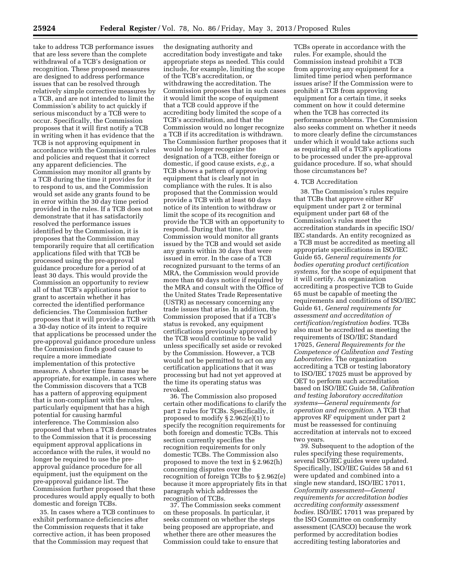take to address TCB performance issues that are less severe than the complete withdrawal of a TCB's designation or recognition. These proposed measures are designed to address performance issues that can be resolved through relatively simple corrective measures by a TCB, and are not intended to limit the Commission's ability to act quickly if serious misconduct by a TCB were to occur. Specifically, the Commission proposes that it will first notify a TCB in writing when it has evidence that the TCB is not approving equipment in accordance with the Commission's rules and policies and request that it correct any apparent deficiencies. The Commission may monitor all grants by a TCB during the time it provides for it to respond to us, and the Commission would set aside any grants found to be in error within the 30 day time period provided in the rules. If a TCB does not demonstrate that it has satisfactorily resolved the performance issues identified by the Commission, it is proposes that the Commission may temporarily require that all certification applications filed with that TCB be processed using the pre-approval guidance procedure for a period of at least 30 days. This would provide the Commission an opportunity to review all of that TCB's applications prior to grant to ascertain whether it has corrected the identified performance deficiencies. The Commission further proposes that it will provide a TCB with a 30-day notice of its intent to require that applications be processed under the pre-approval guidance procedure unless the Commission finds good cause to require a more immediate implementation of this protective measure. A shorter time frame may be appropriate, for example, in cases where the Commission discovers that a TCB has a pattern of approving equipment that is non-compliant with the rules, particularly equipment that has a high potential for causing harmful interference. The Commission also proposed that when a TCB demonstrates to the Commission that it is processing equipment approval applications in accordance with the rules, it would no longer be required to use the preapproval guidance procedure for all equipment, just the equipment on the pre-approval guidance list. The Commission further proposed that these procedures would apply equally to both domestic and foreign TCBs.

35. In cases where a TCB continues to exhibit performance deficiencies after the Commission requests that it take corrective action, it has been proposed that the Commission may request that

the designating authority and accreditation body investigate and take appropriate steps as needed. This could include, for example, limiting the scope of the TCB's accreditation, or withdrawing the accreditation. The Commission proposes that in such cases it would limit the scope of equipment that a TCB could approve if the accrediting body limited the scope of a TCB's accreditation, and that the Commission would no longer recognize a TCB if its accreditation is withdrawn. The Commission further proposes that it would no longer recognize the designation of a TCB, either foreign or domestic, if good cause exists, *e.g.,* a TCB shows a pattern of approving equipment that is clearly not in compliance with the rules. It is also proposed that the Commission would provide a TCB with at least 60 days notice of its intention to withdraw or limit the scope of its recognition and provide the TCB with an opportunity to respond. During that time, the Commission would monitor all grants issued by the TCB and would set aside any grants within 30 days that were issued in error. In the case of a TCB recognized pursuant to the terms of an MRA, the Commission would provide more than 60 days notice if required by the MRA and consult with the Office of the United States Trade Representative (USTR) as necessary concerning any trade issues that arise. In addition, the Commission proposed that if a TCB's status is revoked, any equipment certifications previously approved by the TCB would continue to be valid unless specifically set aside or revoked by the Commission. However, a TCB would not be permitted to act on any certification applications that it was processing but had not yet approved at the time its operating status was revoked.

36. The Commission also proposed certain other modifications to clarify the part 2 rules for TCBs. Specifically, it proposed to modify § 2.962(e)(1) to specify the recognition requirements for both foreign and domestic TCBs. This section currently specifies the recognition requirements for only domestic TCBs. The Commission also proposed to move the text in § 2.962(h) concerning disputes over the recognition of foreign TCBs to § 2.962(e) because it more appropriately fits in that paragraph which addresses the recognition of TCBs.

37. The Commission seeks comment on these proposals. In particular, it seeks comment on whether the steps being proposed are appropriate, and whether there are other measures the Commission could take to ensure that

TCBs operate in accordance with the rules. For example, should the Commission instead prohibit a TCB from approving any equipment for a limited time period when performance issues arise? If the Commission were to prohibit a TCB from approving equipment for a certain time, it seeks comment on how it could determine when the TCB has corrected its performance problems. The Commission also seeks comment on whether it needs to more clearly define the circumstances under which it would take actions such as requiring all of a TCB's applications to be processed under the pre-approval guidance procedure. If so, what should those circumstances be?

# 4. TCB Accreditation

38. The Commission's rules require that TCBs that approve either RF equipment under part 2 or terminal equipment under part 68 of the Commission's rules meet the accreditation standards in specific ISO/ IEC standards. An entity recognized as a TCB must be accredited as meeting all appropriate specifications in ISO/IEC Guide 65, *General requirements for bodies operating product certification systems,* for the scope of equipment that it will certify. An organization accrediting a prospective TCB to Guide 65 must be capable of meeting the requirements and conditions of ISO/IEC Guide 61, *General requirements for assessment and accreditation of certification/registration bodies.* TCBs also must be accredited as meeting the requirements of ISO/IEC Standard 17025, *General Requirements for the Competence of Calibration and Testing Laboratories.* The organization accrediting a TCB or testing laboratory to ISO/IEC 17025 must be approved by OET to perform such accreditation based on ISO/IEC Guide 58, *Calibration and testing laboratory accreditation systems—General requirements for operation and recognition.* A TCB that approves RF equipment under part 2 must be reassessed for continuing accreditation at intervals not to exceed two years.

39. Subsequent to the adoption of the rules specifying these requirements, several ISO/IEC guides were updated. Specifically, ISO/IEC Guides 58 and 61 were updated and combined into a single new standard, ISO/IEC 17011, *Conformity assessment—General requirements for accreditation bodies accrediting conformity assessment bodies.* ISO/IEC 17011 was prepared by the ISO Committee on conformity assessment (CASCO) because the work performed by accreditation bodies accrediting testing laboratories and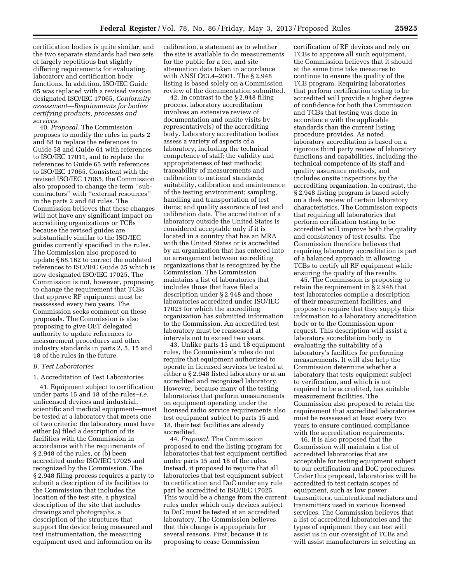certification bodies is quite similar, and the two separate standards had two sets of largely repetitious but slightly differing requirements for evaluating laboratory and certification body functions. In addition, ISO/IEC Guide 65 was replaced with a revised version designated ISO/IEC 17065, *Conformity assessment—Requirements for bodies certifying products, processes and services.* 

40. *Proposal.* The Commission proposes to modify the rules in parts 2 and 68 to replace the references to Guide 58 and Guide 61 with references to ISO/IEC 17011, and to replace the references to Guide 65 with references to ISO/IEC 17065. Consistent with the revised ISO/IEC 17065, the Commission also proposed to change the term ''subcontractors'' with ''external resources'' in the parts 2 and 68 rules. The Commission believes that these changes will not have any significant impact on accrediting organizations or TCBs because the revised guides are substantially similar to the ISO/IEC guides currently specified in the rules. The Commission also proposed to update § 68.162 to correct the outdated references to ISO/IEC Guide 25 which is now designated ISO/IEC 17025. The Commission is not, however, proposing to change the requirement that TCBs that approve RF equipment must be reassessed every two years. The Commission seeks comment on these proposals. The Commission is also proposing to give OET delegated authority to update references to measurement procedures and other industry standards in parts 2, 5, 15 and 18 of the rules in the future.

#### *B. Test Laboratories*

# 1. Accreditation of Test Laboratories

41. Equipment subject to certification under parts 15 and 18 of the rules–*i.e.*  unlicensed devices and industrial, scientific and medical equipment—must be tested at a laboratory that meets one of two criteria: the laboratory must have either (a) filed a description of its facilities with the Commission in accordance with the requirements of § 2.948 of the rules, or (b) been accredited under ISO/IEC 17025 and recognized by the Commission. The § 2.948 filing process requires a party to submit a description of its facilities to the Commission that includes the location of the test site, a physical description of the site that includes drawings and photographs, a description of the structures that support the device being measured and test instrumentation, the measuring equipment used and information on its

calibration, a statement as to whether the site is available to do measurements for the public for a fee, and site attenuation data taken in accordance with ANSI C63.4–2001. The § 2.948 listing is based solely on a Commission review of the documentation submitted.

42. In contrast to the § 2.948 filing process, laboratory accreditation involves an extensive review of documentation and onsite visits by representative(s) of the accrediting body. Laboratory accreditation bodies assess a variety of aspects of a laboratory, including the technical competence of staff; the validity and appropriateness of test methods; traceability of measurements and calibration to national standards; suitability, calibration and maintenance of the testing environment; sampling, handling and transportation of test items; and quality assurance of test and calibration data. The accreditation of a laboratory outside the United States is considered acceptable only if it is located in a country that has an MRA with the United States or is accredited by an organization that has entered into an arrangement between accrediting organizations that is recognized by the Commission. The Commission maintains a list of laboratories that includes those that have filed a description under § 2.948 and those laboratories accredited under ISO/IEC 17025 for which the accrediting organization has submitted information to the Commission. An accredited test laboratory must be reassessed at intervals not to exceed two years.

43. Unlike parts 15 and 18 equipment rules, the Commission's rules do not require that equipment authorized to operate in licensed services be tested at either a § 2.948 listed laboratory or at an accredited and recognized laboratory. However, because many of the testing laboratories that perform measurements on equipment operating under the licensed radio service requirements also test equipment subject to parts 15 and 18, their test facilities are already accredited.

44. *Proposal.* The Commission proposed to end the listing program for laboratories that test equipment certified under parts 15 and 18 of the rules. Instead, it proposed to require that all laboratories that test equipment subject to certification and DoC under any rule part be accredited to ISO/IEC 17025. This would be a change from the current rules under which only devices subject to DoC must be tested at an accredited laboratory. The Commission believes that this change is appropriate for several reasons. First, because it is proposing to cease Commission

certification of RF devices and rely on TCBs to approve all such equipment, the Commission believes that it should at the same time take measures to continue to ensure the quality of the TCB program. Requiring laboratories that perform certification testing to be accredited will provide a higher degree of confidence for both the Commission and TCBs that testing was done in accordance with the applicable standards than the current listing procedure provides. As noted, laboratory accreditation is based on a rigorous third party review of laboratory functions and capabilities, including the technical competence of its staff and quality assurance methods, and includes onsite inspections by the accrediting organization. In contrast, the § 2.948 listing program is based solely on a desk review of certain laboratory characteristics. The Commission expects that requiring all laboratories that perform certification testing to be accredited will improve both the quality and consistency of test results. The Commission therefore believes that requiring laboratory accreditation is part of a balanced approach in allowing TCBs to certify all RF equipment while ensuring the quality of the results.

45. The Commission is proposing to retain the requirement in § 2.948 that test laboratories compile a description of their measurement facilities, and propose to require that they supply this information to a laboratory accreditation body or to the Commission upon request. This description will assist a laboratory accreditation body in evaluating the suitability of a laboratory's facilities for performing measurements. It will also help the Commission determine whether a laboratory that tests equipment subject to verification, and which is not required to be accredited, has suitable measurement facilities. The Commission also proposed to retain the requirement that accredited laboratories must be reassessed at least every two years to ensure continued compliance with the accreditation requirements.

46. It is also proposed that the Commission will maintain a list of accredited laboratories that are acceptable for testing equipment subject to our certification and DoC procedures. Under this proposal, laboratories will be accredited to test certain scopes of equipment, such as low power transmitters, unintentional radiators and transmitters used in various licensed services. The Commission believes that a list of accredited laboratories and the types of equipment they can test will assist us in our oversight of TCBs and will assist manufacturers in selecting an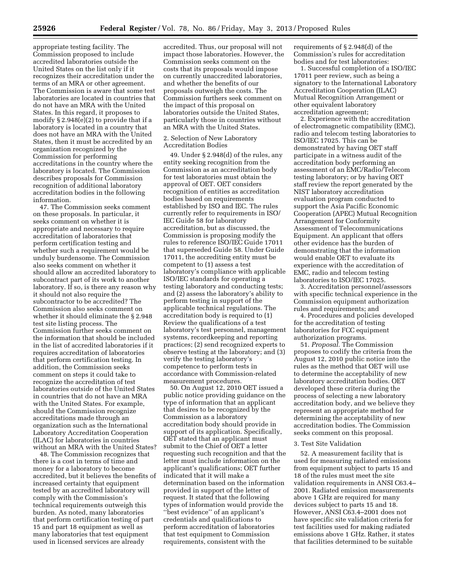appropriate testing facility. The Commission proposed to include accredited laboratories outside the United States on the list only if it recognizes their accreditation under the terms of an MRA or other agreement. The Commission is aware that some test laboratories are located in countries that do not have an MRA with the United States. In this regard, it proposes to modify § 2.948(e)(2) to provide that if a laboratory is located in a country that does not have an MRA with the United States, then it must be accredited by an organization recognized by the Commission for performing accreditations in the country where the laboratory is located. The Commission describes proposals for Commission recognition of additional laboratory accreditation bodies in the following information.

47. The Commission seeks comment on these proposals. In particular, it seeks comment on whether it is appropriate and necessary to require accreditation of laboratories that perform certification testing and whether such a requirement would be unduly burdensome. The Commission also seeks comment on whether it should allow an accredited laboratory to subcontract part of its work to another laboratory. If so, is there any reason why it should not also require the subcontractor to be accredited? The Commission also seeks comment on whether it should eliminate the § 2.948 test site listing process. The Commission further seeks comment on the information that should be included in the list of accredited laboratories if it requires accreditation of laboratories that perform certification testing. In addition, the Commission seeks comment on steps it could take to recognize the accreditation of test laboratories outside of the United States in countries that do not have an MRA with the United States. For example, should the Commission recognize accreditations made through an organization such as the International Laboratory Accreditation Cooperation (ILAC) for laboratories in countries without an MRA with the United States?

48. The Commission recognizes that there is a cost in terms of time and money for a laboratory to become accredited, but it believes the benefits of increased certainty that equipment tested by an accredited laboratory will comply with the Commission's technical requirements outweigh this burden. As noted, many laboratories that perform certification testing of part 15 and part 18 equipment as well as many laboratories that test equipment used in licensed services are already

accredited. Thus, our proposal will not impact those laboratories. However, the Commission seeks comment on the costs that its proposals would impose on currently unaccredited laboratories, and whether the benefits of our proposals outweigh the costs. The Commission furthers seek comment on the impact of this proposal on laboratories outside the United States, particularly those in countries without an MRA with the United States.

### 2. Selection of New Laboratory Accreditation Bodies

49. Under § 2.948(d) of the rules, any entity seeking recognition from the Commission as an accreditation body for test laboratories must obtain the approval of OET. OET considers recognition of entities as accreditation bodies based on requirements established by ISO and IEC. The rules currently refer to requirements in ISO/ IEC Guide 58 for laboratory accreditation, but as discussed, the Commission is proposing modify the rules to reference ISO/IEC Guide 17011 that superseded Guide 58. Under Guide 17011, the accrediting entity must be competent to (1) assess a test laboratory's compliance with applicable ISO/IEC standards for operating a testing laboratory and conducting tests; and (2) assess the laboratory's ability to perform testing in support of the applicable technical regulations. The accreditation body is required to (1) Review the qualifications of a test laboratory's test personnel, management systems, recordkeeping and reporting practices; (2) send recognized experts to observe testing at the laboratory; and (3) verify the testing laboratory's competence to perform tests in accordance with Commission-related measurement procedures.

50. On August 12, 2010 OET issued a public notice providing guidance on the type of information that an applicant that desires to be recognized by the Commission as a laboratory accreditation body should provide in support of its application. Specifically, OET stated that an applicant must submit to the Chief of OET a letter requesting such recognition and that the letter must include information on the applicant's qualifications; OET further indicated that it will make a determination based on the information provided in support of the letter of request. It stated that the following types of information would provide the ''best evidence'' of an applicant's credentials and qualifications to perform accreditation of laboratories that test equipment to Commission requirements, consistent with the

requirements of § 2.948(d) of the Commission's rules for accreditation bodies and for test laboratories:

1. Successful completion of a ISO/IEC 17011 peer review, such as being a signatory to the International Laboratory Accreditation Cooperation (ILAC) Mutual Recognition Arrangement or other equivalent laboratory accreditation agreement;

2. Experience with the accreditation of electromagnetic compatibility (EMC), radio and telecom testing laboratories to ISO/IEC 17025. This can be demonstrated by having OET staff participate in a witness audit of the accreditation body performing an assessment of an EMC/Radio/Telecom testing laboratory; or by having OET staff review the report generated by the NIST laboratory accreditation evaluation program conducted to support the Asia Pacific Economic Cooperation (APEC) Mutual Recognition Arrangement for Conformity Assessment of Telecommunications Equipment. An applicant that offers other evidence has the burden of demonstrating that the information would enable OET to evaluate its experience with the accreditation of EMC, radio and telecom testing laboratories to ISO/IEC 17025.

3. Accreditation personnel/assessors with specific technical experience in the Commission equipment authorization rules and requirements; and

4. Procedures and policies developed for the accreditation of testing laboratories for FCC equipment authorization programs.

51. *Proposal.* The Commission proposes to codify the criteria from the August 12, 2010 public notice into the rules as the method that OET will use to determine the acceptability of new laboratory accreditation bodies. OET developed these criteria during the process of selecting a new laboratory accreditation body, and we believe they represent an appropriate method for determining the acceptability of new accreditation bodies. The Commission seeks comment on this proposal.

### 3. Test Site Validation

52. A measurement facility that is used for measuring radiated emissions from equipment subject to parts 15 and 18 of the rules must meet the site validation requirements in ANSI C63.4– 2001. Radiated emission measurements above 1 GHz are required for many devices subject to parts 15 and 18. However, ANSI C63.4–2001 does not have specific site validation criteria for test facilities used for making radiated emissions above 1 GHz. Rather, it states that facilities determined to be suitable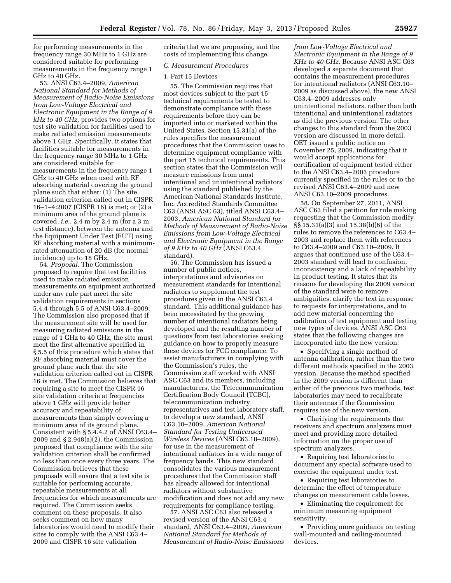for performing measurements in the frequency range 30 MHz to 1 GHz are considered suitable for performing measurements in the frequency range 1 GHz to 40 GHz.

53. ANSI C63.4–2009, *American National Standard for Methods of Measurement of Radio-Noise Emissions from Low-Voltage Electrical and Electronic Equipment in the Range of 9 kHz to 40 GHz,* provides two options for test site validation for facilities used to make radiated emission measurements above 1 GHz. Specifically, it states that facilities suitable for measurements in the frequency range 30 MHz to 1 GHz are considered suitable for measurements in the frequency range 1 GHz to 40 GHz when used with RF absorbing material covering the ground plane such that either: (1) The site validation criterion called out in CISPR 16–1–4:2007 (CISPR 16) is met; or (2) a minimum area of the ground plane is covered, *i.e.,* 2.4 m by 2.4 m (for a 3 m test distance), between the antenna and the Equipment Under Test (EUT) using RF absorbing material with a minimumrated attenuation of 20 dB (for normal incidence) up to 18 GHz.

54. *Proposal.* The Commission proposed to require that test facilities used to make radiated emission measurements on equipment authorized under any rule part meet the site validation requirements in sections 5.4.4 through 5.5 of ANSI C63.4–2009. The Commission also proposed that if the measurement site will be used for measuring radiated emissions in the range of 1 GHz to 40 GHz, the site must meet the first alternative specified in § 5.5 of this procedure which states that RF absorbing material must cover the ground plane such that the site validation criterion called out in CISPR 16 is met. The Commission believes that requiring a site to meet the CISPR 16 site validation criteria at frequencies above 1 GHz will provide better accuracy and repeatability of measurements than simply covering a minimum area of its ground plane. Consistent with § 5.4.4.2 of ANSI C63.4– 2009 and § 2.948(a)(2), the Commission proposed that compliance with the site validation criterion shall be confirmed no less than once every three years. The Commission believes that these proposals will ensure that a test site is suitable for performing accurate, repeatable measurements at all frequencies for which measurements are required. The Commission seeks comment on these proposals. It also seeks comment on how many laboratories would need to modify their sites to comply with the ANSI C63.4– 2009 and CISPR 16 site validation

criteria that we are proposing, and the costs of implementing this change.

# *C. Measurement Procedures*

# 1. Part 15 Devices

55. The Commission requires that most devices subject to the part 15 technical requirements be tested to demonstrate compliance with these requirements before they can be imported into or marketed within the United States. Section 15.31(a) of the rules specifies the measurement procedures that the Commission uses to determine equipment compliance with the part 15 technical requirements. This section states that the Commission will measure emissions from most intentional and unintentional radiators using the standard published by the American National Standards Institute, Inc. Accredited Standards Committee C63 (ANSI ASC 63), titled ANSI C63.4– 2003, *American National Standard for Methods of Measurement of Radio-Noise Emissions from Low-Voltage Electrical and Electronic Equipment in the Range of 9 KHz to 40 GHz* (ANSI C63.4 standard).

56. The Commission has issued a number of public notices, interpretations and advisories on measurement standards for intentional radiators to supplement the test procedures given in the ANSI C63.4 standard. This additional guidance has been necessitated by the growing number of intentional radiators being developed and the resulting number of questions from test laboratories seeking guidance on how to properly measure these devices for FCC compliance. To assist manufacturers in complying with the Commission's rules, the Commission staff worked with ANSI ASC C63 and its members, including manufacturers, the Telecommunication Certification Body Council (TCBC), telecommunication industry representatives and test laboratory staff, to develop a new standard, ANSI C63.10–2009, *American National Standard for Testing Unlicensed Wireless Devices* (ANSI C63.10–2009), for use in the measurement of intentional radiators in a wide range of frequency bands. This new standard consolidates the various measurement procedures that the Commission staff has already allowed for intentional radiators without substantive modification and does not add any new requirements for compliance testing.

57. ANSI ASC C63 also released a revised version of the ANSI C63.4 standard, ANSI C63.4–2009, *American National Standard for Methods of Measurement of Radio-Noise Emissions* 

*from Low-Voltage Electrical and Electronic Equipment in the Range of 9 KHz to 40 GHz.* Because ANSI ASC C63 developed a separate document that contains the measurement procedures for intentional radiators (ANSI C63.10– 2009 as discussed above), the new ANSI C63.4–2009 addresses only unintentional radiators, rather than both intentional and unintentional radiators as did the previous version. The other changes to this standard from the 2003 version are discussed in more detail. OET issued a public notice on November 25, 2009, indicating that it would accept applications for certification of equipment tested either to the ANSI C63.4–2003 procedure currently specified in the rules or to the revised ANSI C63.4–2009 and new ANSI C63.10–2009 procedures.

58. On September 27, 2011, ANSI ASC C63 filed a petition for rule making requesting that the Commission modify §§ 15.31(a)(3) and 15.38(b)(6) of the rules to remove the references to C63.4– 2003 and replace them with references to C63.4–2009 and C63.10–2009. It argues that continued use of the C63.4– 2003 standard will lead to confusion, inconsistency and a lack of repeatability in product testing. It states that its reasons for developing the 2009 version of the standard were to remove ambiguities, clarify the text in response to requests for interpretations, and to add new material concerning the calibration of test equipment and testing new types of devices. ANSI ASC C63 states that the following changes are incorporated into the new version:

• Specifying a single method of antenna calibration, rather than the two different methods specified in the 2003 version. Because the method specified in the 2009 version is different than either of the previous two methods, test laboratories may need to recalibrate their antennas if the Commission requires use of the new version.

• Clarifying the requirements that receivers and spectrum analyzers must meet and providing more detailed information on the proper use of spectrum analyzers.

• Requiring test laboratories to document any special software used to exercise the equipment under test.

• Requiring test laboratories to determine the effect of temperature changes on measurement cable losses.

• Eliminating the requirement for minimum measuring equipment sensitivity.

• Providing more guidance on testing wall-mounted and ceiling-mounted devices.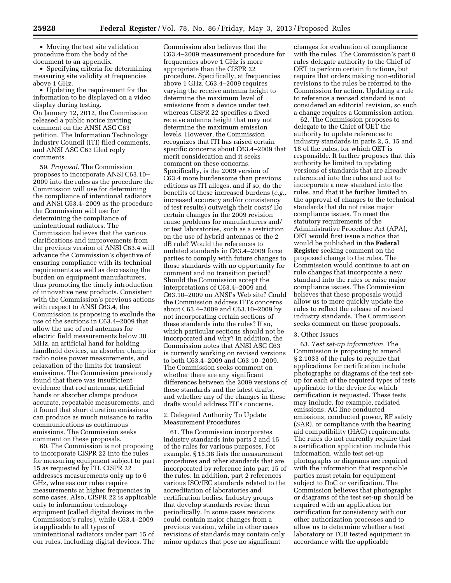• Moving the test site validation procedure from the body of the document to an appendix.

• Specifying criteria for determining measuring site validity at frequencies above 1 GHz.

• Updating the requirement for the information to be displayed on a video display during testing.

On January 12, 2012, the Commission released a public notice inviting comment on the ANSI ASC C63 petition. The Information Technology Industry Council (ITI) filed comments, and ANSI ASC C63 filed reply comments.

59. *Proposal.* The Commission proposes to incorporate ANSI C63.10– 2009 into the rules as the procedure the Commission will use for determining the compliance of intentional radiators and ANSI C63.4–2009 as the procedure the Commission will use for determining the compliance of unintentional radiators. The Commission believes that the various clarifications and improvements from the previous version of ANSI C63.4 will advance the Commission's objective of ensuring compliance with its technical requirements as well as decreasing the burden on equipment manufacturers, thus promoting the timely introduction of innovative new products. Consistent with the Commission's previous actions with respect to ANSI C63.4, the Commission is proposing to exclude the use of the sections in C63.4–2009 that allow the use of rod antennas for electric field measurements below 30 MHz, an artificial hand for holding handheld devices, an absorber clamp for radio noise power measurements, and relaxation of the limits for transient emissions. The Commission previously found that there was insufficient evidence that rod antennas, artificial hands or absorber clamps produce accurate, repeatable measurements, and it found that short duration emissions can produce as much nuisance to radio communications as continuous emissions. The Commission seeks comment on these proposals.

60. The Commission is not proposing to incorporate CISPR 22 into the rules for measuring equipment subject to part 15 as requested by ITI. CISPR 22 addresses measurements only up to 6 GHz, whereas our rules require measurements at higher frequencies in some cases. Also, CISPR 22 is applicable only to information technology equipment (called digital devices in the Commission's rules), while C63.4–2009 is applicable to all types of unintentional radiators under part 15 of our rules, including digital devices. The

Commission also believes that the C63.4–2009 measurement procedure for frequencies above 1 GHz is more appropriate than the CISPR 22 procedure. Specifically, at frequencies above 1 GHz, C63.4–2009 requires varying the receive antenna height to determine the maximum level of emissions from a device under test, whereas CISPR 22 specifies a fixed receive antenna height that may not determine the maximum emission levels. However, the Commission recognizes that ITI has raised certain specific concerns about C63.4–2009 that merit consideration and it seeks comment on these concerns. Specifically, is the 2009 version of C63.4 more burdensome than previous editions as ITI alleges, and if so, do the benefits of these increased burdens (*e.g.,*  increased accuracy and/or consistency of test results) outweigh their costs? Do certain changes in the 2009 revision cause problems for manufacturers and/ or test laboratories, such as a restriction on the use of hybrid antennas or the 2 dB rule? Would the references to undated standards in C63.4–2009 force parties to comply with future changes to those standards with no opportunity for comment and no transition period? Should the Commission accept the interpretations of C63.4–2009 and C63.10–2009 on ANSI's Web site? Could the Commission address ITI's concerns about C63.4–2009 and C63.10–2009 by not incorporating certain sections of these standards into the rules? If so, which particular sections should not be incorporated and why? In addition, the Commission notes that ANSI ASC C63 is currently working on revised versions to both C63.4–2009 and C63.10–2009. The Commission seeks comment on whether there are any significant differences between the 2009 versions of these standards and the latest drafts, and whether any of the changes in these drafts would address ITI's concerns.

### 2. Delegated Authority To Update Measurement Procedures

61. The Commission incorporates industry standards into parts 2 and 15 of the rules for various purposes. For example, § 15.38 lists the measurement procedures and other standards that are incorporated by reference into part 15 of the rules. In addition, part 2 references various ISO/IEC standards related to the accreditation of laboratories and certification bodies. Industry groups that develop standards revise them periodically. In some cases revisions could contain major changes from a previous version, while in other cases revisions of standards may contain only minor updates that pose no significant

changes for evaluation of compliance with the rules. The Commission's part 0 rules delegate authority to the Chief of OET to perform certain functions, but require that orders making non-editorial revisions to the rules be referred to the Commission for action. Updating a rule to reference a revised standard is not considered an editorial revision, so such a change requires a Commission action.

62. The Commission proposes to delegate to the Chief of OET the authority to update references to industry standards in parts 2, 5, 15 and 18 of the rules, for which OET is responsible. It further proposes that this authority be limited to updating versions of standards that are already referenced into the rules and not to incorporate a new standard into the rules, and that it be further limited to the approval of changes to the technical standards that do not raise major compliance issues. To meet the statutory requirements of the Administrative Procedure Act (APA), OET would first issue a notice that would be published in the **Federal Register** seeking comment on the proposed change to the rules. The Commission would continue to act on rule changes that incorporate a new standard into the rules or raise major compliance issues. The Commission believes that these proposals would allow us to more quickly update the rules to reflect the release of revised industry standards. The Commission seeks comment on these proposals.

### 3. Other Issues

63. *Test set-up information.* The Commission is proposing to amend § 2.1033 of the rules to require that applications for certification include photographs or diagrams of the test setup for each of the required types of tests applicable to the device for which certification is requested. These tests may include, for example, radiated emissions, AC line conducted emissions, conducted power, RF safety (SAR), or compliance with the hearing aid compatibility (HAC) requirements. The rules do not currently require that a certification application include this information, while test set-up photographs or diagrams are required with the information that responsible parties must retain for equipment subject to DoC or verification. The Commission believes that photographs or diagrams of the test set-up should be required with an application for certification for consistency with our other authorization processes and to allow us to determine whether a test laboratory or TCB tested equipment in accordance with the applicable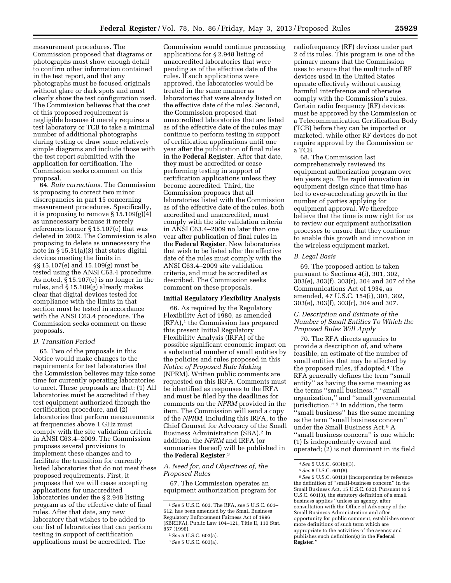measurement procedures. The Commission proposed that diagrams or photographs must show enough detail to confirm other information contained in the test report, and that any photographs must be focused originals without glare or dark spots and must clearly show the test configuration used. The Commission believes that the cost of this proposed requirement is negligible because it merely requires a test laboratory or TCB to take a minimal number of additional photographs during testing or draw some relatively simple diagrams and include those with the test report submitted with the application for certification. The Commission seeks comment on this proposal.

64. *Rule corrections.* The Commission is proposing to correct two minor discrepancies in part 15 concerning measurement procedures. Specifically, it is proposing to remove § 15.109(g)(4) as unnecessary because it merely references former § 15.107(e) that was deleted in 2002. The Commission is also proposing to delete as unnecessary the note in § 15.31(a)(3) that states digital devices meeting the limits in §§ 15.107(e) and 15.109(g) must be tested using the ANSI C63.4 procedure. As noted, § 15.107(e) is no longer in the rules, and § 15.109(g) already makes clear that digital devices tested for compliance with the limits in that section must be tested in accordance with the ANSI C63.4 procedure. The Commission seeks comment on these proposals.

# *D. Transition Period*

65. Two of the proposals in this Notice would make changes to the requirements for test laboratories that the Commission believes may take some time for currently operating laboratories to meet. These proposals are that: (1) All laboratories must be accredited if they test equipment authorized through the certification procedure, and (2) laboratories that perform measurements at frequencies above 1 GHz must comply with the site validation criteria in ANSI C63.4–2009. The Commission proposes several provisions to implement these changes and to facilitate the transition for currently listed laboratories that do not meet these proposed requirements. First, it proposes that we will cease accepting applications for unaccredited laboratories under the § 2.948 listing program as of the effective date of final rules. After that date, any new laboratory that wishes to be added to our list of laboratories that can perform testing in support of certification applications must be accredited. The

Commission would continue processing applications for § 2.948 listing of unaccredited laboratories that were pending as of the effective date of the rules. If such applications were approved, the laboratories would be treated in the same manner as laboratories that were already listed on the effective date of the rules. Second, the Commission proposed that unaccredited laboratories that are listed as of the effective date of the rules may continue to perform testing in support of certification applications until one year after the publication of final rules in the **Federal Register**. After that date, they must be accredited or cease performing testing in support of certification applications unless they become accredited. Third, the Commission proposes that all laboratories listed with the Commission as of the effective date of the rules, both accredited and unaccredited, must comply with the site validation criteria in ANSI C63.4–2009 no later than one year after publication of final rules in the **Federal Register**. New laboratories that wish to be listed after the effective date of the rules must comply with the ANSI C63.4–2009 site validation criteria, and must be accredited as described. The Commission seeks comment on these proposals.

## **Initial Regulatory Flexibility Analysis**

66. As required by the Regulatory Flexibility Act of 1980, as amended (RFA),<sup>1</sup> the Commission has prepared this present Initial Regulatory Flexibility Analysis (IRFA) of the possible significant economic impact on a substantial number of small entities by the policies and rules proposed in this *Notice of Proposed Rule Making*  (NPRM). Written public comments are requested on this IRFA. Comments must be identified as responses to the IRFA and must be filed by the deadlines for comments on the *NPRM* provided in the item. The Commission will send a copy of the *NPRM,* including this IRFA, to the Chief Counsel for Advocacy of the Small Business Administration (SBA).2 In addition, the *NPRM* and IRFA (or summaries thereof) will be published in the **Federal Register**.3

*A. Need for, and Objectives of, the Proposed Rules* 

67. The Commission operates an equipment authorization program for radiofrequency (RF) devices under part 2 of its rules. This program is one of the primary means that the Commission uses to ensure that the multitude of RF devices used in the United States operate effectively without causing harmful interference and otherwise comply with the Commission's rules. Certain radio frequency (RF) devices must be approved by the Commission or a Telecommunication Certification Body (TCB) before they can be imported or marketed, while other RF devices do not require approval by the Commission or a TCB.

68. The Commission last comprehensively reviewed its equipment authorization program over ten years ago. The rapid innovation in equipment design since that time has led to ever-accelerating growth in the number of parties applying for equipment approval. We therefore believe that the time is now right for us to review our equipment authorization processes to ensure that they continue to enable this growth and innovation in the wireless equipment market.

### *B. Legal Basis*

69. The proposed action is taken pursuant to Sections 4(i), 301, 302, 303(e), 303(f), 303(r), 304 and 307 of the Communications Act of 1934, as amended, 47 U.S.C. 154(i), 301, 302, 303(e), 303(f), 303(r), 304 and 307.

# *C. Description and Estimate of the Number of Small Entities To Which the Proposed Rules Will Apply*

70. The RFA directs agencies to provide a description of, and where feasible, an estimate of the number of small entities that may be affected by the proposed rules, if adopted.4 The RFA generally defines the term ''small entity'' as having the same meaning as the terms ''small business,'' ''small organization,'' and ''small governmental jurisdiction."<sup>5</sup> In addition, the term ''small business'' has the same meaning as the term ''small business concern'' under the Small Business Act.6 A ''small business concern'' is one which: (1) Is independently owned and operated; (2) is not dominant in its field

6*See* 5 U.S.C. 601(3) (incorporating by reference the definition of ''small-business concern'' in the Small Business Act, 15 U.S.C. 632). Pursuant to 5 U.S.C. 601(3), the statutory definition of a small business applies ''unless an agency, after consultation with the Office of Advocacy of the Small Business Administration and after opportunity for public comment, establishes one or more definitions of such term which are appropriate to the activities of the agency and publishes such definition(s) in the **Federal Register**.''

<sup>1</sup>*See* 5 U.S.C. 603. The RFA, *see* 5 U.S.C. 601– 612, has been amended by the Small Business Regulatory Enforcement Fairness Act of 1996 (SBREFA), Public Law 104–121, Title II, 110 Stat. 857 (1996).

<sup>2</sup>*See* 5 U.S.C. 603(a).

<sup>3</sup>*See* 5 U.S.C. 603(a).

<sup>4</sup>*See* 5 U.S.C. 603(b)(3).

<sup>5</sup>*See* 5 U.S.C. 601(6).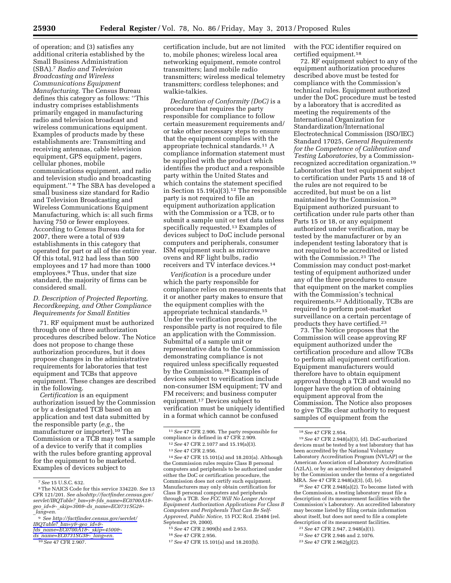of operation; and (3) satisfies any additional criteria established by the Small Business Administration (SBA).7 *Radio and Television Broadcasting and Wireless Communications Equipment Manufacturing.* The Census Bureau defines this category as follows: ''This industry comprises establishments primarily engaged in manufacturing radio and television broadcast and wireless communications equipment. Examples of products made by these establishments are: Transmitting and receiving antennas, cable television equipment, GPS equipment, pagers, cellular phones, mobile communications equipment, and radio and television studio and broadcasting equipment.'' 8 The SBA has developed a small business size standard for Radio and Television Broadcasting and Wireless Communications Equipment Manufacturing, which is: all such firms having 750 or fewer employees. According to Census Bureau data for 2007, there were a total of 939 establishments in this category that operated for part or all of the entire year. Of this total, 912 had less than 500 employees and 17 had more than 1000 employees.9 Thus, under that size standard, the majority of firms can be considered small.

# *D. Description of Projected Reporting, Recordkeeping, and Other Compliance Requirements for Small Entities*

71. RF equipment must be authorized through one of three authorization procedures described below. The Notice does not propose to change these authorization procedures, but it does propose changes in the administrative requirements for laboratories that test equipment and TCBs that approve equipment. These changes are described in the following.

*Certification* is an equipment authorization issued by the Commission or by a designated TCB based on an application and test data submitted by the responsible party (*e.g.,* the manufacturer or importer).10 The Commission or a TCB may test a sample of a device to verify that it complies with the rules before granting approval for the equipment to be marketed. Examples of devices subject to

9 *See [http://factfinder.census.gov/servlet/](http://factfinder.census.gov/servlet/IBQTable?_bm=y&-geo_id=&-fds_name=EC0700A1&-_skip=4500&-ds_name=EC0731SG3&-_lang=en) IBQTable?*\_*[bm=y&-geo](http://factfinder.census.gov/servlet/IBQTable?_bm=y&-geo_id=&-fds_name=EC0700A1&-_skip=4500&-ds_name=EC0731SG3&-_lang=en)*\_*id=&-* 

certification include, but are not limited to, mobile phones; wireless local area networking equipment, remote control transmitters; land mobile radio transmitters; wireless medical telemetry transmitters; cordless telephones; and walkie-talkies.

*Declaration of Conformity (DoC)* is a procedure that requires the party responsible for compliance to follow certain measurement requirements and/ or take other necessary steps to ensure that the equipment complies with the appropriate technical standards.11 A compliance information statement must be supplied with the product which identifies the product and a responsible party within the United States and which contains the statement specified in Section  $15.19(a)(3).$ <sup>12</sup> The responsible party is not required to file an equipment authorization application with the Commission or a TCB, or to submit a sample unit or test data unless specifically requested.13 Examples of devices subject to DoC include personal computers and peripherals, consumer ISM equipment such as microwave ovens and RF light bulbs, radio receivers and TV interface devices.14

*Verification* is a procedure under which the party responsible for compliance relies on measurements that it or another party makes to ensure that the equipment complies with the appropriate technical standards.15 Under the verification procedure, the responsible party is not required to file an application with the Commission. Submittal of a sample unit or representative data to the Commission demonstrating compliance is not required unless specifically requested by the Commission.16 Examples of devices subject to verification include non-consumer ISM equipment; TV and FM receivers; and business computer equipment.17 Devices subject to verification must be uniquely identified in a format which cannot be confused

12*See* 47 CFR 2.1077 and 15.19(a)(3). 13*See* 47 CFR 2.956.

14*See* 47 CFR 15.101(a) and 18.203(a). Although the Commission rules require Class B personal computers and peripherals to be authorized under either the DoC or certification procedure, the Commission does not certify such equipment. Manufacturers may only obtain certification for Class B personal computers and peripherals through a TCB. *See FCC Will No Longer Accept Equipment Authorization Applications For Class B Computers and Peripherals That Can Be Self-Approved, Public Notice,* 15 FCC Rcd. 25484 (rel. September 29, 2000).

15*See* 47 CFR 2.909(b) and 2.953.

16*See* 47 CFR 2.956.

with the FCC identifier required on certified equipment.18

72. RF equipment subject to any of the equipment authorization procedures described above must be tested for compliance with the Commission's technical rules. Equipment authorized under the DoC procedure must be tested by a laboratory that is accredited as meeting the requirements of the International Organization for Standardization/International Electrotechnical Commission (ISO/IEC) Standard 17025, *General Requirements for the Competence of Calibration and Testing Laboratories,* by a Commissionrecognized accreditation organization.19 Laboratories that test equipment subject to certification under Parts 15 and 18 of the rules are not required to be accredited, but must be on a list maintained by the Commission.20 Equipment authorized pursuant to certification under rule parts other than Parts 15 or 18, or any equipment authorized under verification, may be tested by the manufacturer or by an independent testing laboratory that is not required to be accredited or listed with the Commission.21 The Commission may conduct post-market testing of equipment authorized under any of the three procedures to ensure that equipment on the market complies with the Commission's technical requirements.22 Additionally, TCBs are required to perform post-market surveillance on a certain percentage of products they have certified.23

73. The Notice proposes that the Commission will cease approving RF equipment authorized under the certification procedure and allow TCBs to perform all equipment certification. Equipment manufacturers would therefore have to obtain equipment approval through a TCB and would no longer have the option of obtaining equipment approval from the Commission. The Notice also proposes to give TCBs clear authority to request samples of equipment from the

20*See* 47 CFR 2.948(a)(2). To become listed with the Commission, a testing laboratory must file a description of its measurement facilities with the Commission's Laboratory. An accredited laboratory may become listed by filing certain information about itself, but does not need to file a complete description of its measurement facilities.

- 21*See* 47 CFR 2.947, 2.948(a)(1).
- 22*See* 47 CFR 2.946 and 2.1076.
- 23*See* 47 CFR 2.962(g)(2).

<sup>7</sup>*See* 15 U.S.C. 632. 8The NAICS Code for this service 334220. *See* <sup>13</sup> CFR 121/201. *See alsohttp://factfinder.census.gov/ servlet/IBQTable?*\_*bm=y&-fds*\_*name=EC0700A1& geo*\_*id=&-*\_*skip=300&-ds*\_*name=EC0731SG2&-*  \_*lang=en.* 

*fds*\_*[name=EC0700A1&-](http://factfinder.census.gov/servlet/IBQTable?_bm=y&-geo_id=&-fds_name=EC0700A1&-_skip=4500&-ds_name=EC0731SG3&-_lang=en)*\_*skip=4500&- ds*\_*[name=EC0731SG3&-](http://factfinder.census.gov/servlet/IBQTable?_bm=y&-geo_id=&-fds_name=EC0700A1&-_skip=4500&-ds_name=EC0731SG3&-_lang=en)*\_*lang=en.* 

<sup>10</sup>*See* 47 CFR 2.907.

<sup>11</sup>*See* 47 CFR 2.906. The party responsible for compliance is defined in 47 CFR 2.909.

<sup>17</sup>*See* 47 CFR 15.101(a) and 18.203(b).

<sup>18</sup>*See* 47 CFR 2.954.

<sup>19</sup>*See* 47 CFR 2.948(a)(3), (d). DoC-authorized devices must be tested by a test laboratory that has been accredited by the National Voluntary Laboratory Accreditation Program (NVLAP) or the American Association of Laboratory Accreditation (A2LA), or by an accredited laboratory designated by the Commission under the terms of a negotiated MRA. *See* 47 CFR 2.948(a)(3), (d), (e).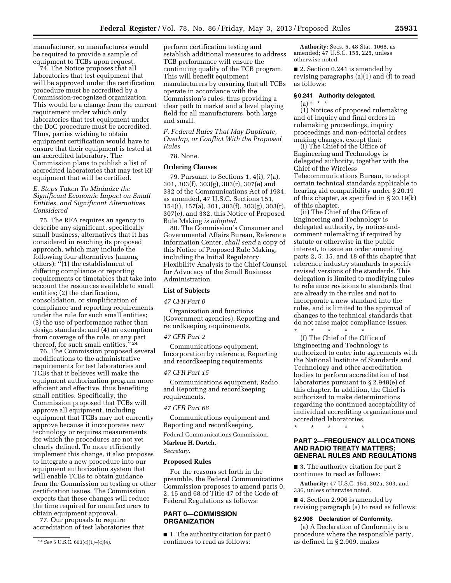manufacturer, so manufactures would be required to provide a sample of equipment to TCBs upon request.

74. The Notice proposes that all laboratories that test equipment that will be approved under the certification procedure must be accredited by a Commission-recognized organization. This would be a change from the current requirement under which only laboratories that test equipment under the DoC procedure must be accredited. Thus, parties wishing to obtain equipment certification would have to ensure that their equipment is tested at an accredited laboratory. The Commission plans to publish a list of accredited laboratories that may test RF equipment that will be certified.

# *E. Steps Taken To Minimize the Significant Economic Impact on Small Entities, and Significant Alternatives Considered*

75. The RFA requires an agency to describe any significant, specifically small business, alternatives that it has considered in reaching its proposed approach, which may include the following four alternatives (among others): ''(1) the establishment of differing compliance or reporting requirements or timetables that take into account the resources available to small entities; (2) the clarification, consolidation, or simplification of compliance and reporting requirements under the rule for such small entities; (3) the use of performance rather than design standards; and (4) an exemption from coverage of the rule, or any part thereof, for such small entities."<sup>24</sup>

76. The Commission proposed several modifications to the administrative requirements for test laboratories and TCBs that it believes will make the equipment authorization program more efficient and effective, thus benefiting small entities. Specifically, the Commission proposed that TCBs will approve all equipment, including equipment that TCBs may not currently approve because it incorporates new technology or requires measurements for which the procedures are not yet clearly defined. To more efficiently implement this change, it also proposes to integrate a new procedure into our equipment authorization system that will enable TCBs to obtain guidance from the Commission on testing or other certification issues. The Commission expects that these changes will reduce the time required for manufacturers to obtain equipment approval.

77. Our proposals to require accreditation of test laboratories that

perform certification testing and establish additional measures to address TCB performance will ensure the continuing quality of the TCB program. This will benefit equipment manufacturers by ensuring that all TCBs operate in accordance with the Commission's rules, thus providing a clear path to market and a level playing field for all manufacturers, both large and small.

*F. Federal Rules That May Duplicate, Overlap, or Conflict With the Proposed Rules* 

#### 78. None.

#### **Ordering Clauses**

79. Pursuant to Sections 1, 4(i), 7(a), 301, 303(f), 303(g), 303(r), 307(e) and 332 of the Communications Act of 1934, as amended, 47 U.S.C. Sections 151, 154(i), 157(a), 301, 303(f), 303(g), 303(r), 307(e), and 332, this Notice of Proposed Rule Making *is adopted.* 

80. The Commission's Consumer and Governmental Affairs Bureau, Reference Information Center, *shall send* a copy of this Notice of Proposed Rule Making, including the Initial Regulatory Flexibility Analysis to the Chief Counsel for Advocacy of the Small Business Administration.

# **List of Subjects**

### *47 CFR Part 0*

Organization and functions (Government agencies), Reporting and recordkeeping requirements.

# *47 CFR Part 2*

Communications equipment, Incorporation by reference, Reporting and recordkeeping requirements.

#### *47 CFR Part 15*

Communications equipment, Radio, and Reporting and recordkeeping requirements.

## *47 CFR Part 68*

Communications equipment and Reporting and recordkeeping.

Federal Communications Commission.

# **Marlene H. Dortch,**

# *Secretary.*

# **Proposed Rules**

For the reasons set forth in the preamble, the Federal Communications Commission proposes to amend parts 0, 2, 15 and 68 of Title 47 of the Code of Federal Regulations as follows:

# **PART 0—COMMISSION ORGANIZATION**

■ 1. The authority citation for part 0 continues to read as follows:

**Authority:** Secs. 5, 48 Stat. 1068, as amended; 47 U.S.C. 155, 225, unless otherwise noted.

■ 2. Section 0.241 is amended by revising paragraphs (a)(1) and (f) to read as follows:

# **§ 0.241 Authority delegated.**

 $(a) * * * *$ (1) Notices of proposed rulemaking and of inquiry and final orders in rulemaking proceedings, inquiry proceedings and non-editorial orders making changes, except that:

(i) The Chief of the Office of Engineering and Technology is delegated authority, together with the Chief of the Wireless Telecommunications Bureau, to adopt certain technical standards applicable to hearing aid compatibility under § 20.19 of this chapter, as specified in § 20.19(k) of this chapter.

(ii) The Chief of the Office of Engineering and Technology is delegated authority, by notice-andcomment rulemaking if required by statute or otherwise in the public interest, to issue an order amending parts 2, 5, 15, and 18 of this chapter that reference industry standards to specify revised versions of the standards. This delegation is limited to modifying rules to reference revisions to standards that are already in the rules and not to incorporate a new standard into the rules, and is limited to the approval of changes to the technical standards that do not raise major compliance issues.

\* \* \* \* \* (f) The Chief of the Office of Engineering and Technology is authorized to enter into agreements with the National Institute of Standards and Technology and other accreditation bodies to perform accreditation of test laboratories pursuant to § 2.948(e) of this chapter. In addition, the Chief is authorized to make determinations regarding the continued acceptability of individual accrediting organizations and accredited laboratories.

\* \* \* \* \*

# **PART 2—FREQUENCY ALLOCATIONS AND RADIO TREATY MATTERS; GENERAL RULES AND REGULATIONS**

■ 3. The authority citation for part 2 continues to read as follows:

**Authority:** 47 U.S.C. 154, 302a, 303, and 336, unless otherwise noted.

■ 4. Section 2.906 is amended by revising paragraph (a) to read as follows:

# **§ 2.906 Declaration of Conformity.**

(a) A Declaration of Conformity is a procedure where the responsible party, as defined in § 2.909, makes

<sup>24</sup>*See* 5 U.S.C. 603(c)(1)–(c)(4).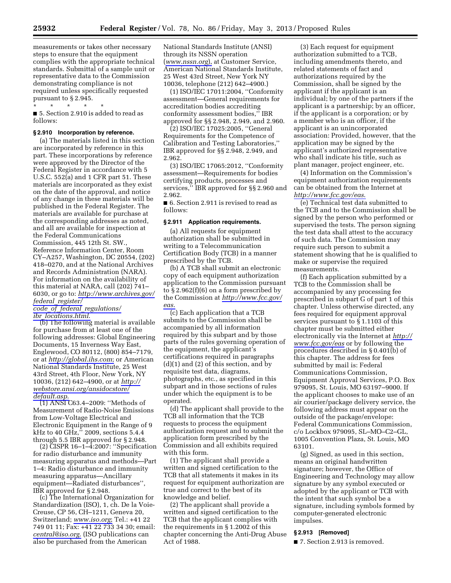measurements or takes other necessary steps to ensure that the equipment complies with the appropriate technical standards. Submittal of a sample unit or representative data to the Commission demonstrating compliance is not required unless specifically requested pursuant to § 2.945.

\* \* \* \* \* ■ 5. Section 2.910 is added to read as follows:

## **§ 2.910 Incorporation by reference.**

(a) The materials listed in this section are incorporated by reference in this part. These incorporations by reference were approved by the Director of the Federal Register in accordance with 5 U.S.C. 552(a) and 1 CFR part 51. These materials are incorporated as they exist on the date of the approval, and notice of any change in these materials will be published in the Federal Register. The materials are available for purchase at the corresponding addresses as noted, and all are available for inspection at the Federal Communications Commission, 445 12th St. SW., Reference Information Center, Room CY–A257, Washington, DC 20554, (202) 418–0270, and at the National Archives and Records Administration (NARA). For information on the availability of this material at NARA, call (202) 741– 6030, or go to: *[http://www.archives.gov/](http://www.archives.gov/federal_register/code_of_federal_regulations/ibr_locations.html) federal*\_*[register/](http://www.archives.gov/federal_register/code_of_federal_regulations/ibr_locations.html)* 

*code*\_*of*\_*federal*\_*[regulations/](http://www.archives.gov/federal_register/code_of_federal_regulations/ibr_locations.html)  ibr*\_*[locations.html](http://www.archives.gov/federal_register/code_of_federal_regulations/ibr_locations.html)*.

(b) The following material is available for purchase from at least one of the following addresses: Global Engineering Documents, 15 Inverness Way East, Englewood, CO 80112, (800) 854–7179, or at *<http://global.ihs.com>*; or American National Standards Institute, 25 West 43rd Street, 4th Floor, New York, NY 10036, (212) 642–4900, or at *[http://](http://webstore.ansi.org/ansidocstore/default.asp)  [webstore.ansi.org/ansidocstore/](http://webstore.ansi.org/ansidocstore/default.asp) [default.asp](http://webstore.ansi.org/ansidocstore/default.asp)*.

(1) ANSI C63.4–2009: ''Methods of Measurement of Radio-Noise Emissions from Low-Voltage Electrical and Electronic Equipment in the Range of 9 kHz to 40 GHz," 2009, sections 5.4.4 through 5.5 IBR approved for § 2.948.

(2) CISPR 16–1–4:2007: ''Specification for radio disturbance and immunity measuring apparatus and methods—Part 1–4: Radio disturbance and immunity measuring apparatus—Ancillary equipment—Radiated disturbances'', IBR approved for § 2.948.

(c) The International Organization for Standardization (ISO), 1, ch. De la Voie-Creuse, CP 56, CH–1211, Geneva 20, Switzerland; *[www.iso.org](http://www.iso.org)*; Tel.: +41 22 749 01 11; Fax: +41 22 733 34 30; email: *[central@iso.org](mailto:central@iso.org)*. (ISO publications can also be purchased from the American

National Standards Institute (ANSI) through its NSSN operation (*[www.nssn.org](http://www.nssn.org)*), at Customer Service, American National Standards Institute, 25 West 43rd Street, New York NY 10036, telephone (212) 642–4900.)

(1) ISO/IEC 17011:2004, ''Conformity assessment—General requirements for accreditation bodies accrediting conformity assessment bodies,'' IBR approved for §§ 2.948, 2.949, and 2.960.

(2) ISO/IEC 17025:2005, ''General Requirements for the Competence of Calibration and Testing Laboratories,'' IBR approved for §§ 2.948, 2.949, and 2.962.

(3) ISO/IEC 17065:2012, ''Conformity assessment—Requirements for bodies certifying products, processes and services,'' IBR approved for §§ 2.960 and 2.962.

■ 6. Section 2.911 is revised to read as follows:

### **§ 2.911 Application requirements.**

(a) All requests for equipment authorization shall be submitted in writing to a Telecommunication Certification Body (TCB) in a manner prescribed by the TCB.

(b) A TCB shall submit an electronic copy of each equipment authorization application to the Commission pursuant to  $\S 2.962(f)(6)$  on a form prescribed by the Commission at *[http://www.fcc.gov/](http://www.fcc.gov/eas) [eas](http://www.fcc.gov/eas)*.

(c) Each application that a TCB submits to the Commission shall be accompanied by all information required by this subpart and by those parts of the rules governing operation of the equipment, the applicant's certifications required in paragraphs (d)(1) and (2) of this section, and by requisite test data, diagrams, photographs, etc., as specified in this subpart and in those sections of rules under which the equipment is to be operated.

(d) The applicant shall provide to the TCB all information that the TCB requests to process the equipment authorization request and to submit the application form prescribed by the Commission and all exhibits required with this form.

(1) The applicant shall provide a written and signed certification to the TCB that all statements it makes in its request for equipment authorization are true and correct to the best of its knowledge and belief.

(2) The applicant shall provide a written and signed certification to the TCB that the applicant complies with the requirements in § 1.2002 of this chapter concerning the Anti-Drug Abuse Act of 1988.

(3) Each request for equipment authorization submitted to a TCB, including amendments thereto, and related statements of fact and authorizations required by the Commission, shall be signed by the applicant if the applicant is an individual; by one of the partners if the applicant is a partnership; by an officer, if the applicant is a corporation; or by a member who is an officer, if the applicant is an unincorporated association: Provided, however, that the application may be signed by the applicant's authorized representative who shall indicate his title, such as plant manager, project engineer, etc.

(4) Information on the Commission's equipment authorization requirements can be obtained from the Internet at *<http://www.fcc.gov/eas>*.

(e) Technical test data submitted to the TCB and to the Commission shall be signed by the person who performed or supervised the tests. The person signing the test data shall attest to the accuracy of such data. The Commission may require such person to submit a statement showing that he is qualified to make or supervise the required measurements.

(f) Each application submitted by a TCB to the Commission shall be accompanied by any processing fee prescribed in subpart G of part 1 of this chapter. Unless otherwise directed, any fees required for equipment approval services pursuant to § 1.1103 of this chapter must be submitted either electronically via the Internet at *[http://](http://www.fcc.gov/eas)  [www.fcc.gov/eas](http://www.fcc.gov/eas)* or by following the procedures described in § 0.401(b) of this chapter. The address for fees submitted by mail is: Federal Communications Commission, Equipment Approval Services, P.O. Box 979095, St. Louis, MO 63197–9000. If the applicant chooses to make use of an air courier/package delivery service, the following address must appear on the outside of the package/envelope: Federal Communications Commission, c/o Lockbox 979095, SL–MO–C2–GL, 1005 Convention Plaza, St. Louis, MO 63101.

(g) Signed, as used in this section, means an original handwritten signature; however, the Office of Engineering and Technology may allow signature by any symbol executed or adopted by the applicant or TCB with the intent that such symbol be a signature, including symbols formed by computer-generated electronic impulses.

# **§ 2.913 [Removed]**

■ 7. Section 2.913 is removed.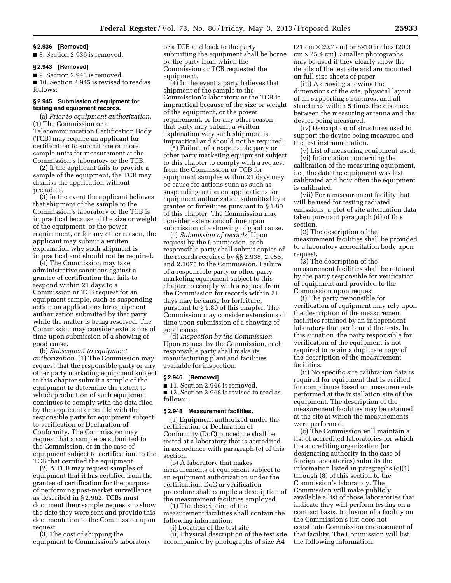### **§ 2.936 [Removed]**

■ 8. Section 2.936 is removed.

#### **§ 2.943 [Removed]**

■ 9. Section 2.943 is removed.

■ 10. Section 2.945 is revised to read as follows:

# **§ 2.945 Submission of equipment for testing and equipment records.**

(a) *Prior to equipment authorization.*  (1) The Commission or a Telecommunication Certification Body (TCB) may require an applicant for certification to submit one or more sample units for measurement at the Commission's laboratory or the TCB.

(2) If the applicant fails to provide a sample of the equipment, the TCB may dismiss the application without prejudice.

(3) In the event the applicant believes that shipment of the sample to the Commission's laboratory or the TCB is impractical because of the size or weight of the equipment, or the power requirement, or for any other reason, the applicant may submit a written explanation why such shipment is impractical and should not be required.

(4) The Commission may take administrative sanctions against a grantee of certification that fails to respond within 21 days to a Commission or TCB request for an equipment sample, such as suspending action on applications for equipment authorization submitted by that party while the matter is being resolved. The Commission may consider extensions of time upon submission of a showing of good cause.

(b) *Subsequent to equipment authorization.* (1) The Commission may request that the responsible party or any other party marketing equipment subject to this chapter submit a sample of the equipment to determine the extent to which production of such equipment continues to comply with the data filed by the applicant or on file with the responsible party for equipment subject to verification or Declaration of Conformity. The Commission may request that a sample be submitted to the Commission, or in the case of equipment subject to certification, to the TCB that certified the equipment.

(2) A TCB may request samples of equipment that it has certified from the grantee of certification for the purpose of performing post-market surveillance as described in § 2.962. TCBs must document their sample requests to show the date they were sent and provide this documentation to the Commission upon request.

(3) The cost of shipping the equipment to Commission's laboratory or a TCB and back to the party submitting the equipment shall be borne by the party from which the Commission or TCB requested the equipment.

(4) In the event a party believes that shipment of the sample to the Commission's laboratory or the TCB is impractical because of the size or weight of the equipment, or the power requirement, or for any other reason, that party may submit a written explanation why such shipment is impractical and should not be required.

(5) Failure of a responsible party or other party marketing equipment subject to this chapter to comply with a request from the Commission or TCB for equipment samples within 21 days may be cause for actions such as such as suspending action on applications for equipment authorization submitted by a grantee or forfeitures pursuant to § 1.80 of this chapter. The Commission may consider extensions of time upon submission of a showing of good cause.

(c) *Submission of records.* Upon request by the Commission, each responsible party shall submit copies of the records required by §§ 2.938, 2.955, and 2.1075 to the Commission. Failure of a responsible party or other party marketing equipment subject to this chapter to comply with a request from the Commission for records within 21 days may be cause for forfeiture, pursuant to § 1.80 of this chapter. The Commission may consider extensions of time upon submission of a showing of good cause.

(d) *Inspection by the Commission.*  Upon request by the Commission, each responsible party shall make its manufacturing plant and facilities available for inspection.

### **§ 2.946 [Removed]**

■ 11. Section 2.946 is removed. ■ 12. Section 2.948 is revised to read as follows:

### **§ 2.948 Measurement facilities.**

(a) Equipment authorized under the certification or Declaration of Conformity (DoC) procedure shall be tested at a laboratory that is accredited in accordance with paragraph (e) of this section.

(b) A laboratory that makes measurements of equipment subject to an equipment authorization under the certification, DoC or verification procedure shall compile a description of the measurement facilities employed.

(1) The description of the measurement facilities shall contain the following information:

(i) Location of the test site.

(ii) Physical description of the test site accompanied by photographs of size A4

 $(21 \text{ cm} \times 29.7 \text{ cm})$  or 8×10 inches  $(20.3 \text{ m})$  $cm \times 25.4$  cm). Smaller photographs may be used if they clearly show the details of the test site and are mounted on full size sheets of paper.

(iii) A drawing showing the dimensions of the site, physical layout of all supporting structures, and all structures within 5 times the distance between the measuring antenna and the device being measured.

(iv) Description of structures used to support the device being measured and the test instrumentation.

(v) List of measuring equipment used. (vi) Information concerning the calibration of the measuring equipment, i.e., the date the equipment was last calibrated and how often the equipment is calibrated.

(vii) For a measurement facility that will be used for testing radiated emissions, a plot of site attenuation data taken pursuant paragraph (d) of this section.

(2) The description of the measurement facilities shall be provided to a laboratory accreditation body upon request.

(3) The description of the measurement facilities shall be retained by the party responsible for verification of equipment and provided to the Commission upon request.

(i) The party responsible for verification of equipment may rely upon the description of the measurement facilities retained by an independent laboratory that performed the tests. In this situation, the party responsible for verification of the equipment is not required to retain a duplicate copy of the description of the measurement facilities.

(ii) No specific site calibration data is required for equipment that is verified for compliance based on measurements performed at the installation site of the equipment. The description of the measurement facilities may be retained at the site at which the measurements were performed.

(c) The Commission will maintain a list of accredited laboratories for which the accrediting organization (or designating authority in the case of foreign laboratories) submits the information listed in paragraphs (c)(1) through (8) of this section to the Commission's laboratory. The Commission will make publicly available a list of those laboratories that indicate they will perform testing on a contract basis. Inclusion of a facility on the Commission's list does not constitute Commission endorsement of that facility. The Commission will list the following information: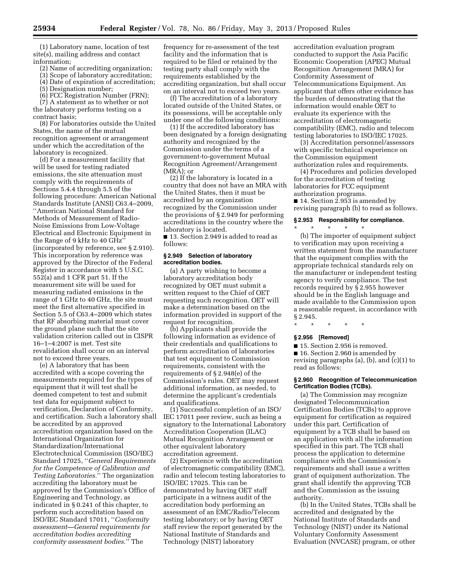(1) Laboratory name, location of test site(s), mailing address and contact information;

(2) Name of accrediting organization;

(3) Scope of laboratory accreditation;

(4) Date of expiration of accreditation;

(5) Designation number;

(6) FCC Registration Number (FRN); (7) A statement as to whether or not the laboratory performs testing on a contract basis;

(8) For laboratories outside the United States, the name of the mutual recognition agreement or arrangement under which the accreditation of the laboratory is recognized.

(d) For a measurement facility that will be used for testing radiated emissions, the site attenuation must comply with the requirements of Sections 5.4.4 through 5.5 of the following procedure: American National Standards Institute (ANSI) C63.4–2009, ''American National Standard for Methods of Measurement of Radio-Noise Emissions from Low-Voltage Electrical and Electronic Equipment in the Range of 9 kHz to 40 GHz'' (incorporated by reference, see § 2.910). This incorporation by reference was approved by the Director of the Federal Register in accordance with 5 U.S.C. 552(a) and 1 CFR part 51. If the measurement site will be used for measuring radiated emissions in the range of 1 GHz to 40 GHz, the site must meet the first alternative specified in Section 5.5 of C63.4–2009 which states that RF absorbing material must cover the ground plane such that the site validation criterion called out in CISPR 16–1–4:2007 is met. Test site revalidation shall occur on an interval not to exceed three years.

(e) A laboratory that has been accredited with a scope covering the measurements required for the types of equipment that it will test shall be deemed competent to test and submit test data for equipment subject to verification, Declaration of Conformity, and certification. Such a laboratory shall be accredited by an approved accreditation organization based on the International Organization for Standardization/International Electrotechnical Commission (ISO/IEC) Standard 17025, ''*General Requirements for the Competence of Calibration and Testing Laboratories.*'' The organization accrediting the laboratory must be approved by the Commission's Office of Engineering and Technology, as indicated in § 0.241 of this chapter, to perform such accreditation based on ISO/IEC Standard 17011, ''*Conformity assessment—General requirements for accreditation bodies accrediting conformity assessment bodies.*'' The

frequency for re-assessment of the test facility and the information that is required to be filed or retained by the testing party shall comply with the requirements established by the accrediting organization, but shall occur on an interval not to exceed two years.

(f) The accreditation of a laboratory located outside of the United States, or its possessions, will be acceptable only under one of the following conditions:

(1) If the accredited laboratory has been designated by a foreign designating authority and recognized by the Commission under the terms of a government-to-government Mutual Recognition Agreement/Arrangement (MRA); or

(2) If the laboratory is located in a country that does not have an MRA with the United States, then it must be accredited by an organization recognized by the Commission under the provisions of § 2.949 for performing accreditations in the country where the laboratory is located.

■ 13. Section 2.949 is added to read as follows:

### **§ 2.949 Selection of laboratory accreditation bodies.**

(a) A party wishing to become a laboratory accreditation body recognized by OET must submit a written request to the Chief of OET requesting such recognition. OET will make a determination based on the information provided in support of the request for recognition.

(b) Applicants shall provide the following information as evidence of their credentials and qualifications to perform accreditation of laboratories that test equipment to Commission requirements, consistent with the requirements of § 2.948(e) of the Commission's rules. OET may request additional information, as needed, to determine the applicant's credentials and qualifications.

(1) Successful completion of an ISO/ IEC 17011 peer review, such as being a signatory to the International Laboratory Accreditation Cooperation (ILAC) Mutual Recognition Arrangement or other equivalent laboratory accreditation agreement.

(2) Experience with the accreditation of electromagnetic compatibility (EMC), radio and telecom testing laboratories to ISO/IEC 17025. This can be demonstrated by having OET staff participate in a witness audit of the accreditation body performing an assessment of an EMC/Radio/Telecom testing laboratory; or by having OET staff review the report generated by the National Institute of Standards and Technology (NIST) laboratory

accreditation evaluation program conducted to support the Asia Pacific Economic Cooperation (APEC) Mutual Recognition Arrangement (MRA) for Conformity Assessment of Telecommunications Equipment. An applicant that offers other evidence has the burden of demonstrating that the information would enable OET to evaluate its experience with the accreditation of electromagnetic compatibility (EMC), radio and telecom testing laboratories to ISO/IEC 17025.

(3) Accreditation personnel/assessors with specific technical experience on the Commission equipment authorization rules and requirements.

(4) Procedures and policies developed for the accreditation of testing laboratories for FCC equipment authorization programs.

■ 14. Section 2.953 is amended by revising paragraph (b) to read as follows.

# **§ 2.953 Responsibility for compliance.**

\* \* \* \* \* (b) The importer of equipment subject to verification may upon receiving a written statement from the manufacturer that the equipment complies with the appropriate technical standards rely on the manufacturer or independent testing agency to verify compliance. The test records required by § 2.955 however should be in the English language and made available to the Commission upon a reasonable request, in accordance with § 2.945.

\* \* \* \* \*

#### **§ 2.956 [Removed]**

■ 15. Section 2.956 is removed. ■ 16. Section 2.960 is amended by revising paragraphs (a), (b), and (c)(1) to read as follows:

#### **§ 2.960 Recognition of Telecommunication Certification Bodies (TCBs).**

(a) The Commission may recognize designated Telecommunication Certification Bodies (TCBs) to approve equipment for certification as required under this part. Certification of equipment by a TCB shall be based on an application with all the information specified in this part. The TCB shall process the application to determine compliance with the Commission's requirements and shall issue a written grant of equipment authorization. The grant shall identify the approving TCB and the Commission as the issuing authority.

(b) In the United States, TCBs shall be accredited and designated by the National Institute of Standards and Technology (NIST) under its National Voluntary Conformity Assessment Evaluation (NVCASE) program, or other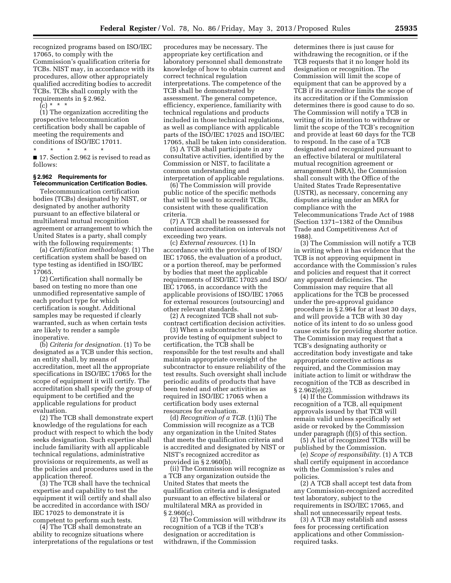recognized programs based on ISO/IEC 17065, to comply with the Commission's qualification criteria for TCBs. NIST may, in accordance with its procedures, allow other appropriately qualified accrediting bodies to accredit TCBs. TCBs shall comply with the requirements in § 2.962.

 $(c) * * * *$ 

(1) The organization accrediting the prospective telecommunication certification body shall be capable of meeting the requirements and conditions of ISO/IEC 17011.

\* \* \* \* \*

■ 17. Section 2.962 is revised to read as follows:

# **§ 2.962 Requirements for Telecommunication Certification Bodies.**

Telecommunication certification bodies (TCBs) designated by NIST, or designated by another authority pursuant to an effective bilateral or multilateral mutual recognition agreement or arrangement to which the United States is a party, shall comply with the following requirements:

(a) *Certification methodology.* (1) The certification system shall be based on type testing as identified in ISO/IEC 17065.

(2) Certification shall normally be based on testing no more than one unmodified representative sample of each product type for which certification is sought. Additional samples may be requested if clearly warranted, such as when certain tests are likely to render a sample inoperative.

(b) *Criteria for designation.* (1) To be designated as a TCB under this section, an entity shall, by means of accreditation, meet all the appropriate specifications in ISO/IEC 17065 for the scope of equipment it will certify. The accreditation shall specify the group of equipment to be certified and the applicable regulations for product evaluation.

(2) The TCB shall demonstrate expert knowledge of the regulations for each product with respect to which the body seeks designation. Such expertise shall include familiarity with all applicable technical regulations, administrative provisions or requirements, as well as the policies and procedures used in the application thereof.

(3) The TCB shall have the technical expertise and capability to test the equipment it will certify and shall also be accredited in accordance with ISO/ IEC 17025 to demonstrate it is competent to perform such tests.

(4) The TCB shall demonstrate an ability to recognize situations where interpretations of the regulations or test

procedures may be necessary. The appropriate key certification and laboratory personnel shall demonstrate knowledge of how to obtain current and correct technical regulation interpretations. The competence of the TCB shall be demonstrated by assessment. The general competence, efficiency, experience, familiarity with technical regulations and products included in those technical regulations, as well as compliance with applicable parts of the ISO/IEC 17025 and ISO/IEC 17065, shall be taken into consideration.

(5) A TCB shall participate in any consultative activities, identified by the Commission or NIST, to facilitate a common understanding and interpretation of applicable regulations.

(6) The Commission will provide public notice of the specific methods that will be used to accredit TCBs, consistent with these qualification criteria.

(7) A TCB shall be reassessed for continued accreditation on intervals not exceeding two years.

(c) *External resources.* (1) In accordance with the provisions of ISO/ IEC 17065, the evaluation of a product, or a portion thereof, may be performed by bodies that meet the applicable requirements of ISO/IEC 17025 and ISO/ IEC 17065, in accordance with the applicable provisions of ISO/IEC 17065 for external resources (outsourcing) and other relevant standards.

(2) A recognized TCB shall not subcontract certification decision activities.

(3) When a subcontractor is used to provide testing of equipment subject to certification, the TCB shall be responsible for the test results and shall maintain appropriate oversight of the subcontractor to ensure reliability of the test results. Such oversight shall include periodic audits of products that have been tested and other activities as required in ISO/IEC 17065 when a certification body uses external resources for evaluation.

(d) *Recognition of a TCB.* (1)(i) The Commission will recognize as a TCB any organization in the United States that meets the qualification criteria and is accredited and designated by NIST or NIST's recognized accreditor as provided in § 2.960(b).

(ii) The Commission will recognize as a TCB any organization outside the United States that meets the qualification criteria and is designated pursuant to an effective bilateral or multilateral MRA as provided in  $§ 2.960(c).$ 

(2) The Commission will withdraw its recognition of a TCB if the TCB's designation or accreditation is withdrawn, if the Commission

determines there is just cause for withdrawing the recognition, or if the TCB requests that it no longer hold its designation or recognition. The Commission will limit the scope of equipment that can be approved by a TCB if its accreditor limits the scope of its accreditation or if the Commission determines there is good cause to do so. The Commission will notify a TCB in writing of its intention to withdraw or limit the scope of the TCB's recognition and provide at least 60 days for the TCB to respond. In the case of a TCB designated and recognized pursuant to an effective bilateral or multilateral mutual recognition agreement or arrangement (MRA), the Commission shall consult with the Office of the United States Trade Representative (USTR), as necessary, concerning any disputes arising under an MRA for compliance with the Telecommunications Trade Act of 1988 (Section 1371–1382 of the Omnibus Trade and Competitiveness Act of 1988).

(3) The Commission will notify a TCB in writing when it has evidence that the TCB is not approving equipment in accordance with the Commission's rules and policies and request that it correct any apparent deficiencies. The Commission may require that all applications for the TCB be processed under the pre-approval guidance procedure in § 2.964 for at least 30 days, and will provide a TCB with 30 day notice of its intent to do so unless good cause exists for providing shorter notice. The Commission may request that a TCB's designating authority or accreditation body investigate and take appropriate corrective actions as required, and the Commission may initiate action to limit or withdraw the recognition of the TCB as described in § 2.962(e)(2).

(4) If the Commission withdraws its recognition of a TCB, all equipment approvals issued by that TCB will remain valid unless specifically set aside or revoked by the Commission under paragraph (f)(5) of this section.

(5) A list of recognized TCBs will be published by the Commission.

(e) *Scope of responsibility.* (1) A TCB shall certify equipment in accordance with the Commission's rules and policies.

(2) A TCB shall accept test data from any Commission-recognized accredited test laboratory, subject to the requirements in ISO/IEC 17065, and shall not unnecessarily repeat tests.

(3) A TCB may establish and assess fees for processing certification applications and other Commissionrequired tasks.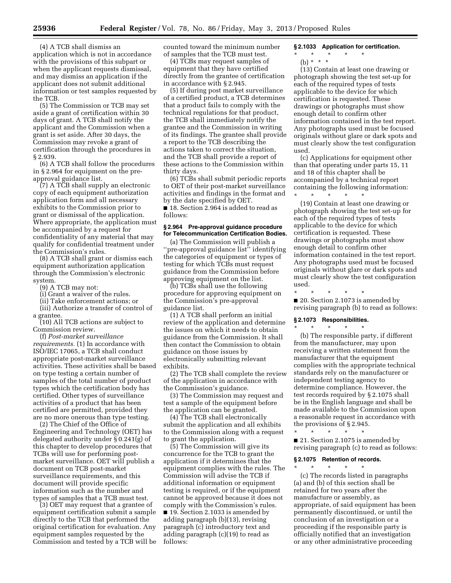(4) A TCB shall dismiss an application which is not in accordance with the provisions of this subpart or when the applicant requests dismissal, and may dismiss an application if the applicant does not submit additional information or test samples requested by the TCB.

(5) The Commission or TCB may set aside a grant of certification within 30 days of grant. A TCB shall notify the applicant and the Commission when a grant is set aside. After 30 days, the Commission may revoke a grant of certification through the procedures in § 2.939.

(6) A TCB shall follow the procedures in § 2.964 for equipment on the preapproval guidance list.

(7) A TCB shall supply an electronic copy of each equipment authorization application form and all necessary exhibits to the Commission prior to grant or dismissal of the application. Where appropriate, the application must be accompanied by a request for confidentiality of any material that may qualify for confidential treatment under the Commission's rules.

(8) A TCB shall grant or dismiss each equipment authorization application through the Commission's electronic system.

(9) A TCB may not:

(i) Grant a waiver of the rules.

(ii) Take enforcement actions; or

(iii) Authorize a transfer of control of a grantee.

(10) All TCB actions are subject to Commission review.

(f) *Post-market surveillance requirements.* (1) In accordance with ISO/IEC 17065, a TCB shall conduct appropriate post-market surveillance activities. These activities shall be based on type testing a certain number of samples of the total number of product types which the certification body has certified. Other types of surveillance activities of a product that has been certified are permitted, provided they are no more onerous than type testing.

(2) The Chief of the Office of Engineering and Technology (OET) has delegated authority under § 0.241(g) of this chapter to develop procedures that TCBs will use for performing postmarket surveillance. OET will publish a document on TCB post-market surveillance requirements, and this document will provide specific information such as the number and types of samples that a TCB must test.

(3) OET may request that a grantee of equipment certification submit a sample directly to the TCB that performed the original certification for evaluation. Any equipment samples requested by the Commission and tested by a TCB will be counted toward the minimum number of samples that the TCB must test.

(4) TCBs may request samples of equipment that they have certified directly from the grantee of certification in accordance with § 2.945.

(5) If during post market surveillance of a certified product, a TCB determines that a product fails to comply with the technical regulations for that product, the TCB shall immediately notify the grantee and the Commission in writing of its findings. The grantee shall provide a report to the TCB describing the actions taken to correct the situation, and the TCB shall provide a report of these actions to the Commission within thirty days.

(6) TCBs shall submit periodic reports to OET of their post-market surveillance activities and findings in the format and by the date specified by OET.

■ 18. Section 2.964 is added to read as follows:

### **§ 2.964 Pre-approval guidance procedure for Telecommunication Certification Bodies.**

(a) The Commission will publish a ''pre-approval guidance list'' identifying the categories of equipment or types of testing for which TCBs must request guidance from the Commission before approving equipment on the list.

(b) TCBs shall use the following procedure for approving equipment on the Commission's pre-approval guidance list.

(1) A TCB shall perform an initial review of the application and determine the issues on which it needs to obtain guidance from the Commission. It shall then contact the Commission to obtain guidance on those issues by electronically submitting relevant exhibits.

(2) The TCB shall complete the review of the application in accordance with the Commission's guidance.

(3) The Commission may request and test a sample of the equipment before the application can be granted.

(4) The TCB shall electronically submit the application and all exhibits to the Commission along with a request to grant the application.

(5) The Commission will give its concurrence for the TCB to grant the application if it determines that the equipment complies with the rules. The Commission will advise the TCB if additional information or equipment testing is required, or if the equipment cannot be approved because it does not comply with the Commission's rules. ■ 19. Section 2.1033 is amended by adding paragraph (b)(13), revising paragraph (c) introductory text and adding paragraph (c)(19) to read as follows:

# **§ 2.1033 Application for certification.**

\* \* \* \* \*

(b) \* \* \*

(13) Contain at least one drawing or photograph showing the test set-up for each of the required types of tests applicable to the device for which certification is requested. These drawings or photographs must show enough detail to confirm other information contained in the test report. Any photographs used must be focused originals without glare or dark spots and must clearly show the test configuration used.

(c) Applications for equipment other than that operating under parts 15, 11 and 18 of this chapter shall be accompanied by a technical report containing the following information: \* \* \* \* \*

(19) Contain at least one drawing or photograph showing the test set-up for each of the required types of tests applicable to the device for which certification is requested. These drawings or photographs must show enough detail to confirm other information contained in the test report. Any photographs used must be focused originals without glare or dark spots and must clearly show the test configuration used.

\* \* \* \* \* ■ 20. Section 2.1073 is amended by revising paragraph (b) to read as follows:

### **§ 2.1073 Responsibilities.**

\* \* \* \* \* (b) The responsible party, if different from the manufacturer, may upon receiving a written statement from the manufacturer that the equipment complies with the appropriate technical standards rely on the manufacturer or independent testing agency to determine compliance. However, the test records required by § 2.1075 shall be in the English language and shall be made available to the Commission upon a reasonable request in accordance with the provisions of § 2.945.

\* \* \* \* \* ■ 21. Section 2.1075 is amended by revising paragraph (c) to read as follows:

#### **§ 2.1075 Retention of records.**

\* \* \* \* \* (c) The records listed in paragraphs (a) and (b) of this section shall be retained for two years after the manufacture or assembly, as appropriate, of said equipment has been permanently discontinued, or until the conclusion of an investigation or a proceeding if the responsible party is officially notified that an investigation or any other administrative proceeding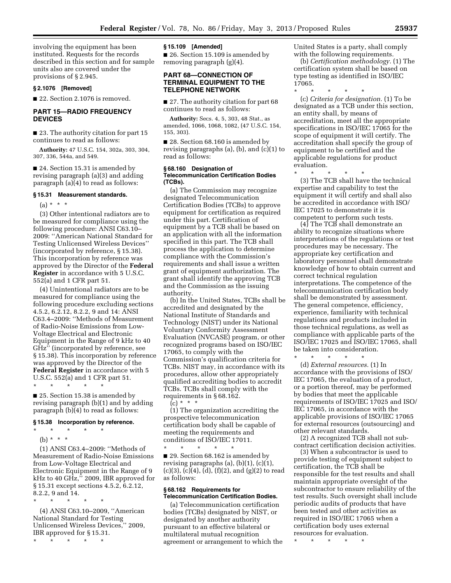involving the equipment has been instituted. Requests for the records described in this section and for sample units also are covered under the provisions of § 2.945.

### **§ 2.1076 [Removed]**

■ 22. Section 2.1076 is removed.

# **PART 15—RADIO FREQUENCY DEVICES**

■ 23. The authority citation for part 15 continues to read as follows:

**Authority:** 47 U.S.C. 154, 302a, 303, 304, 307, 336, 544a, and 549.

■ 24. Section 15.31 is amended by revising paragraph (a)(3) and adding paragraph (a)(4) to read as follows:

#### **§ 15.31 Measurement standards.**

(a) \* \* \*

(3) Other intentional radiators are to be measured for compliance using the following procedure: ANSI C63.10– 2009: ''American National Standard for Testing Unlicensed Wireless Devices'' (incorporated by reference, § 15.38). This incorporation by reference was approved by the Director of the **Federal Register** in accordance with 5 U.S.C. 552(a) and 1 CFR part 51.

(4) Unintentional radiators are to be measured for compliance using the following procedure excluding sections 4.5.2, 6.2.12, 8.2.2, 9 and 14: ANSI C63.4–2009: ''Methods of Measurement of Radio-Noise Emissions from Low-Voltage Electrical and Electronic Equipment in the Range of 9 kHz to 40 GHz'' (incorporated by reference, see § 15.38). This incorporation by reference was approved by the Director of the **Federal Register** in accordance with 5 U.S.C. 552(a) and 1 CFR part 51. \* \* \* \* \*

■ 25. Section 15.38 is amended by revising paragraph (b)(1) and by adding paragraph (b)(4) to read as follows:

#### **§ 15.38 Incorporation by reference.**

\* \* \* \* \* (b) \* \* \*

(1) ANSI C63.4–2009: ''Methods of Measurement of Radio-Noise Emissions from Low-Voltage Electrical and Electronic Equipment in the Range of 9 kHz to 40 GHz,'' 2009, IBR approved for § 15.31 except sections 4.5.2, 6.2.12, 8.2.2, 9 and 14.

\* \* \* \* \* (4) ANSI C63.10–2009, ''American

National Standard for Testing Unlicensed Wireless Devices,'' 2009, IBR approved for § 15.31.

\* \* \* \* \*

#### **§ 15.109 [Amended]**

■ 26. Section 15.109 is amended by removing paragraph (g)(4).

# **PART 68—CONNECTION OF TERMINAL EQUIPMENT TO THE TELEPHONE NETWORK**

■ 27. The authority citation for part 68 continues to read as follows:

**Authority:** Secs. 4, 5, 303, 48 Stat., as amended, 1066, 1068, 1082, (47 U.S.C. 154, 155, 303).

■ 28. Section 68.160 is amended by revising paragraphs (a), (b), and (c)(1) to read as follows:

### **§ 68.160 Designation of Telecommunication Certification Bodies (TCBs).**

(a) The Commission may recognize designated Telecommunication Certification Bodies (TCBs) to approve equipment for certification as required under this part. Certification of equipment by a TCB shall be based on an application with all the information specified in this part. The TCB shall process the application to determine compliance with the Commission's requirements and shall issue a written grant of equipment authorization. The grant shall identify the approving TCB and the Commission as the issuing authority.

(b) In the United States, TCBs shall be accredited and designated by the National Institute of Standards and Technology (NIST) under its National Voluntary Conformity Assessment Evaluation (NVCASE) program, or other recognized programs based on ISO/IEC 17065, to comply with the Commission's qualification criteria for TCBs. NIST may, in accordance with its procedures, allow other appropriately qualified accrediting bodies to accredit TCBs. TCBs shall comply with the requirements in § 68.162. (c) \* \* \*

(1) The organization accrediting the prospective telecommunication certification body shall be capable of meeting the requirements and conditions of ISO/IEC 17011.

\* \* \* \* \* ■ 29. Section 68.162 is amended by revising paragraphs (a), (b)(1), (c)(1),  $(c)(3)$ ,  $(c)(4)$ ,  $(d)$ ,  $(f)(2)$ , and  $(g)(2)$  to read as follows:

### **§ 68.162 Requirements for Telecommunication Certification Bodies.**

(a) Telecommunication certification bodies (TCBs) designated by NIST, or designated by another authority pursuant to an effective bilateral or multilateral mutual recognition agreement or arrangement to which the United States is a party, shall comply with the following requirements.

(b) *Certification methodology.* (1) The certification system shall be based on type testing as identified in ISO/IEC 17065.

\* \* \* \* \*

(c) *Criteria for designation.* (1) To be designated as a TCB under this section, an entity shall, by means of accreditation, meet all the appropriate specifications in ISO/IEC 17065 for the scope of equipment it will certify. The accreditation shall specify the group of equipment to be certified and the applicable regulations for product evaluation.

\* \* \* \* \* (3) The TCB shall have the technical expertise and capability to test the equipment it will certify and shall also be accredited in accordance with ISO/

IEC 17025 to demonstrate it is competent to perform such tests.

(4) The TCB shall demonstrate an ability to recognize situations where interpretations of the regulations or test procedures may be necessary. The appropriate key certification and laboratory personnel shall demonstrate knowledge of how to obtain current and correct technical regulation interpretations. The competence of the telecommunication certification body shall be demonstrated by assessment. The general competence, efficiency, experience, familiarity with technical regulations and products included in those technical regulations, as well as compliance with applicable parts of the ISO/IEC 17025 and ISO/IEC 17065, shall be taken into consideration.

\* \* \* \* \* (d) *External resources.* (1) In accordance with the provisions of ISO/ IEC 17065, the evaluation of a product, or a portion thereof, may be performed by bodies that meet the applicable requirements of ISO/IEC 17025 and ISO/ IEC 17065, in accordance with the applicable provisions of ISO/IEC 17065 for external resources (outsourcing) and other relevant standards.

(2) A recognized TCB shall not subcontract certification decision activities.

(3) When a subcontractor is used to provide testing of equipment subject to certification, the TCB shall be responsible for the test results and shall maintain appropriate oversight of the subcontractor to ensure reliability of the test results. Such oversight shall include periodic audits of products that have been tested and other activities as required in ISO/IEC 17065 when a certification body uses external resources for evaluation.

\* \* \* \* \*